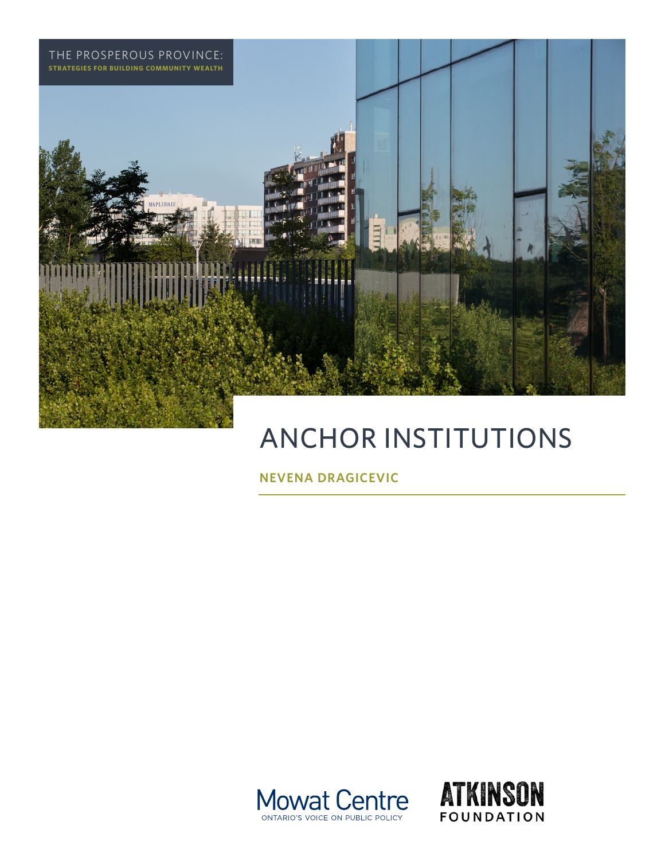

# ANCHOR INSTITUTIONS

**NEVENA DRAGICEVIC**



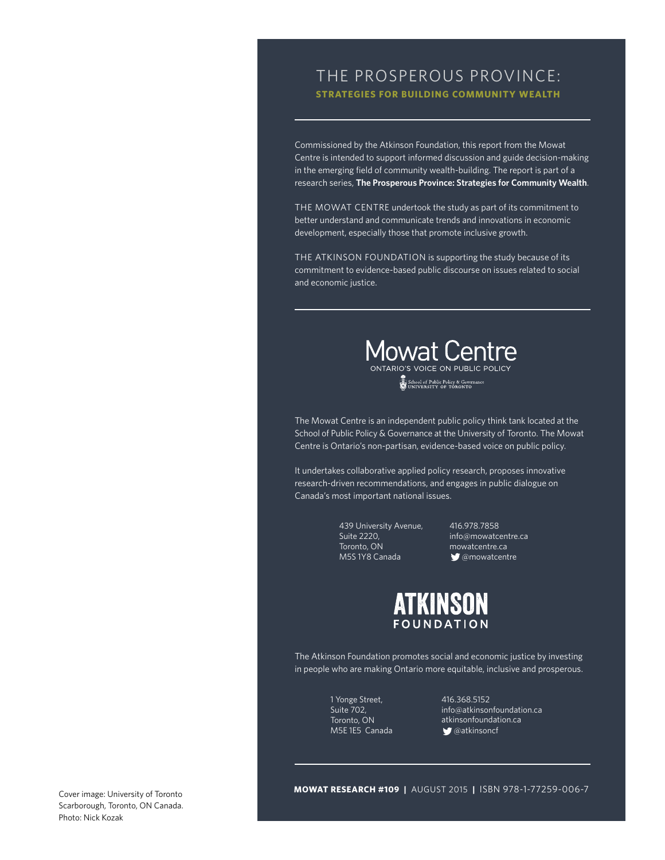# THE PROSPEROUS PROVINCE: **STRATEGIES FOR BUILDING COMMUNITY WEALTH**

Commissioned by the Atkinson Foundation, this report from the Mowat Centre is intended to support informed discussion and guide decision-making in the emerging field of community wealth-building. The report is part of a research series, **The Prosperous Province: Strategies for Community Wealth**.

THE MOWAT CENTRE undertook the study as part of its commitment to better understand and communicate trends and innovations in economic development, especially those that promote inclusive growth.

THE ATKINSON FOUNDATION is supporting the study because of its commitment to evidence-based public discourse on issues related to social and economic justice.



School of Public Policy & Governance

The Mowat Centre is an independent public policy think tank located at the School of Public Policy & Governance at the University of Toronto. The Mowat Centre is Ontario's non-partisan, evidence-based voice on public policy.

It undertakes collaborative applied policy research, proposes innovative research-driven recommendations, and engages in public dialogue on Canada's most important national issues.

> 439 University Avenue, Suite 2220, Toronto, ON M5S 1Y8 Canada

416.978.7858 [info@mowatcentre.ca](mailto:info@mowatcentre.ca) [mowatcentre.ca](http://mowatcentre.ca) **@mowatcentre** 



The Atkinson Foundation promotes social and economic justice by investing in people who are making Ontario more equitable, inclusive and prosperous.

> 1 Yonge Street, Suite 702, Toronto, ON M5E 1E5 Canada

416.368.5152 [info@atkinsonfoundation.ca](mailto:info@atkinsonfoundation.ca) [atkinsonfoundation.ca](http://atkinsonfoundation.ca) **g**@atkinsoncf

Cover image: University of Toronto Scarborough, Toronto, ON Canada. Photo: Nick Kozak

**MOWAT RESEARCH #109 |** AUGUST 2015 **|** ISBN 978-1-77259-006-7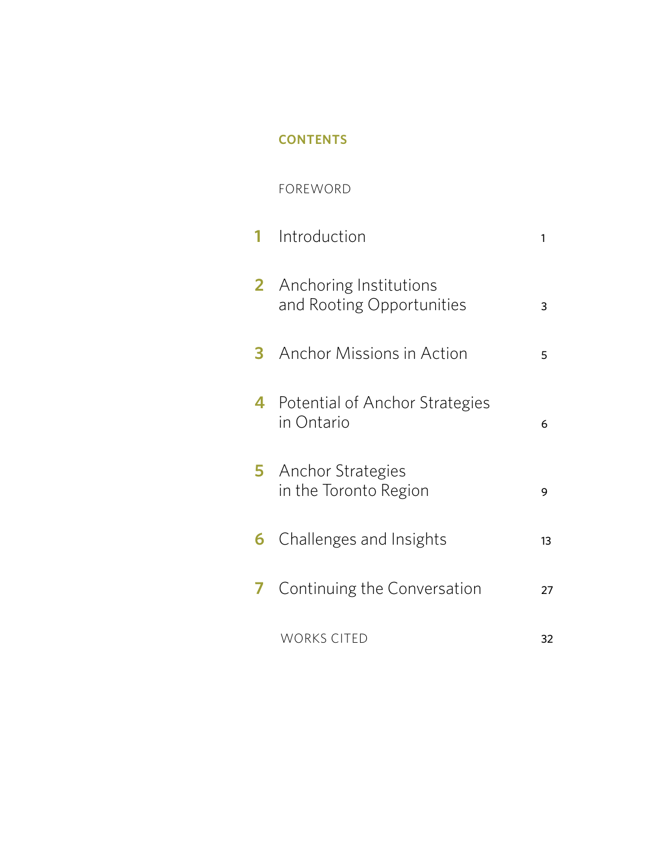# **CONTENTS**

# FOREWORD

|   | 1 Introduction                                               | 1  |
|---|--------------------------------------------------------------|----|
|   | <b>2</b> Anchoring Institutions<br>and Rooting Opportunities | 3  |
|   | <b>3</b> Anchor Missions in Action                           | 5  |
|   | 4 Potential of Anchor Strategies<br>in Ontario               | 6  |
|   | <b>5</b> Anchor Strategies<br>in the Toronto Region          | 9  |
|   | <b>6</b> Challenges and Insights                             | 13 |
| 7 | Continuing the Conversation                                  | 27 |
|   | <b>WORKS CITED</b>                                           | 32 |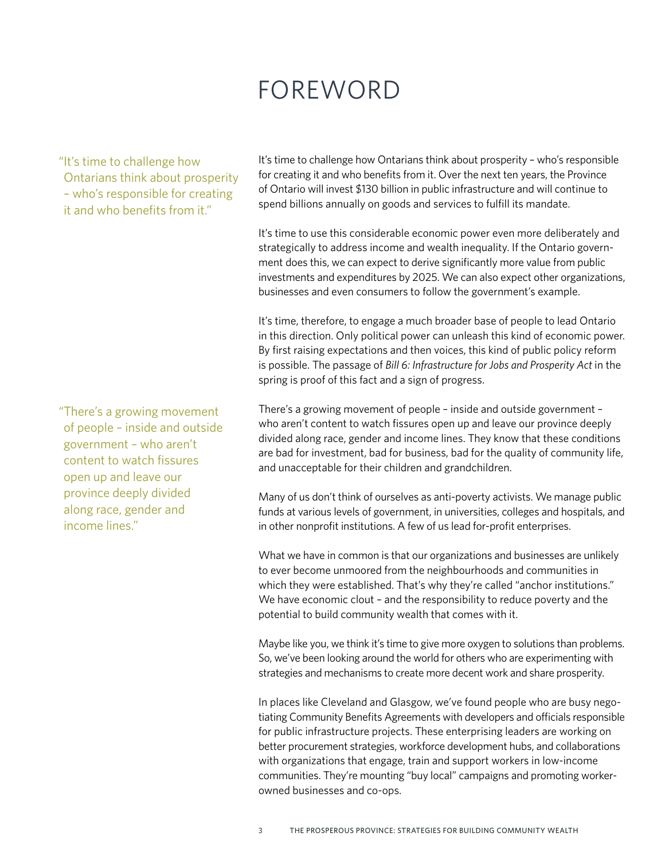# FOREWORD

"It's time to challenge how Ontarians think about prosperity – who's responsible for creating it and who benefits from it."

It's time to challenge how Ontarians think about prosperity – who's responsible for creating it and who benefits from it. Over the next ten years, the Province of Ontario will invest \$130 billion in public infrastructure and will continue to spend billions annually on goods and services to fulfill its mandate.

It's time to use this considerable economic power even more deliberately and strategically to address income and wealth inequality. If the Ontario government does this, we can expect to derive significantly more value from public investments and expenditures by 2025. We can also expect other organizations, businesses and even consumers to follow the government's example.

It's time, therefore, to engage a much broader base of people to lead Ontario in this direction. Only political power can unleash this kind of economic power. By first raising expectations and then voices, this kind of public policy reform is possible. The passage of *Bill 6: Infrastructure for Jobs and Prosperity Act* in the spring is proof of this fact and a sign of progress.

There's a growing movement of people – inside and outside government – who aren't content to watch fissures open up and leave our province deeply divided along race, gender and income lines. They know that these conditions are bad for investment, bad for business, bad for the quality of community life, and unacceptable for their children and grandchildren.

Many of us don't think of ourselves as anti-poverty activists. We manage public funds at various levels of government, in universities, colleges and hospitals, and in other nonprofit institutions. A few of us lead for-profit enterprises.

What we have in common is that our organizations and businesses are unlikely to ever become unmoored from the neighbourhoods and communities in which they were established. That's why they're called "anchor institutions." We have economic clout – and the responsibility to reduce poverty and the potential to build community wealth that comes with it.

Maybe like you, we think it's time to give more oxygen to solutions than problems. So, we've been looking around the world for others who are experimenting with strategies and mechanisms to create more decent work and share prosperity.

In places like Cleveland and Glasgow, we've found people who are busy negotiating Community Benefits Agreements with developers and officials responsible for public infrastructure projects. These enterprising leaders are working on better procurement strategies, workforce development hubs, and collaborations with organizations that engage, train and support workers in low-income communities. They're mounting "buy local" campaigns and promoting workerowned businesses and co-ops.

"There's a growing movement of people – inside and outside government – who aren't content to watch fissures open up and leave our province deeply divided along race, gender and income lines."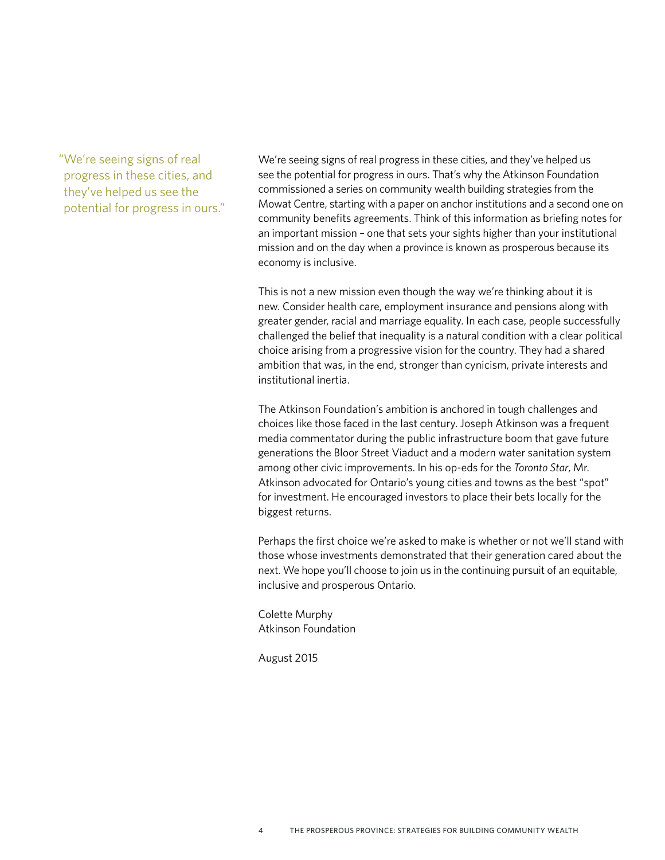"We're seeing signs of real progress in these cities, and they've helped us see the potential for progress in ours." We're seeing signs of real progress in these cities, and they've helped us see the potential for progress in ours. That's why the Atkinson Foundation commissioned a series on community wealth building strategies from the Mowat Centre, starting with a paper on anchor institutions and a second one on community benefits agreements. Think of this information as briefing notes for an important mission – one that sets your sights higher than your institutional mission and on the day when a province is known as prosperous because its economy is inclusive.

This is not a new mission even though the way we're thinking about it is new. Consider health care, employment insurance and pensions along with greater gender, racial and marriage equality. In each case, people successfully challenged the belief that inequality is a natural condition with a clear political choice arising from a progressive vision for the country. They had a shared ambition that was, in the end, stronger than cynicism, private interests and institutional inertia.

The Atkinson Foundation's ambition is anchored in tough challenges and choices like those faced in the last century. Joseph Atkinson was a frequent media commentator during the public infrastructure boom that gave future generations the Bloor Street Viaduct and a modern water sanitation system among other civic improvements. In his op-eds for the *Toronto Star*, Mr. Atkinson advocated for Ontario's young cities and towns as the best "spot" for investment. He encouraged investors to place their bets locally for the biggest returns.

Perhaps the first choice we're asked to make is whether or not we'll stand with those whose investments demonstrated that their generation cared about the next. We hope you'll choose to join us in the continuing pursuit of an equitable, inclusive and prosperous Ontario.

Colette Murphy Atkinson Foundation

August 2015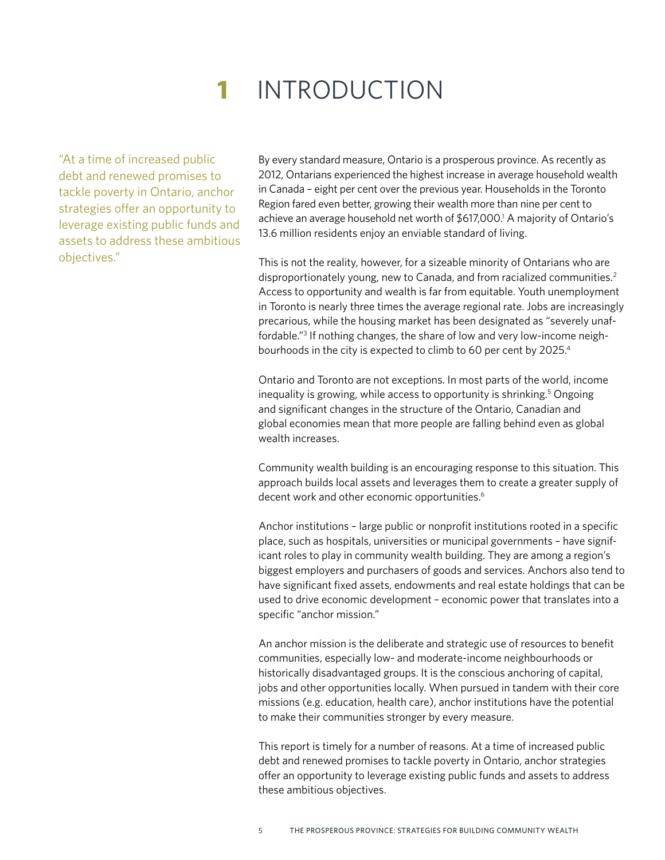# **1** INTRODUCTION

"At a time of increased public debt and renewed promises to tackle poverty in Ontario, anchor strategies offer an opportunity to leverage existing public funds and assets to address these ambitious objectives."

By every standard measure, Ontario is a prosperous province. As recently as 2012, Ontarians experienced the highest increase in average household wealth in Canada – eight per cent over the previous year. Households in the Toronto Region fared even better, growing their wealth more than nine per cent to achieve an average household net worth of \$617,000.<sup>1</sup> A majority of Ontario's 13.6 million residents enjoy an enviable standard of living.

This is not the reality, however, for a sizeable minority of Ontarians who are disproportionately young, new to Canada, and from racialized communities.<sup>2</sup> Access to opportunity and wealth is far from equitable. Youth unemployment in Toronto is nearly three times the average regional rate. Jobs are increasingly precarious, while the housing market has been designated as "severely unaffordable."3 If nothing changes, the share of low and very low-income neighbourhoods in the city is expected to climb to 60 per cent by 2025.4

Ontario and Toronto are not exceptions. In most parts of the world, income inequality is growing, while access to opportunity is shrinking.<sup>5</sup> Ongoing and significant changes in the structure of the Ontario, Canadian and global economies mean that more people are falling behind even as global wealth increases.

Community wealth building is an encouraging response to this situation. This approach builds local assets and leverages them to create a greater supply of decent work and other economic opportunities.<sup>6</sup>

Anchor institutions – large public or nonprofit institutions rooted in a specific place, such as hospitals, universities or municipal governments – have significant roles to play in community wealth building. They are among a region's biggest employers and purchasers of goods and services. Anchors also tend to have significant fixed assets, endowments and real estate holdings that can be used to drive economic development – economic power that translates into a specific "anchor mission."

An anchor mission is the deliberate and strategic use of resources to benefit communities, especially low- and moderate-income neighbourhoods or historically disadvantaged groups. It is the conscious anchoring of capital, jobs and other opportunities locally. When pursued in tandem with their core missions (e.g. education, health care), anchor institutions have the potential to make their communities stronger by every measure.

This report is timely for a number of reasons. At a time of increased public debt and renewed promises to tackle poverty in Ontario, anchor strategies offer an opportunity to leverage existing public funds and assets to address these ambitious objectives.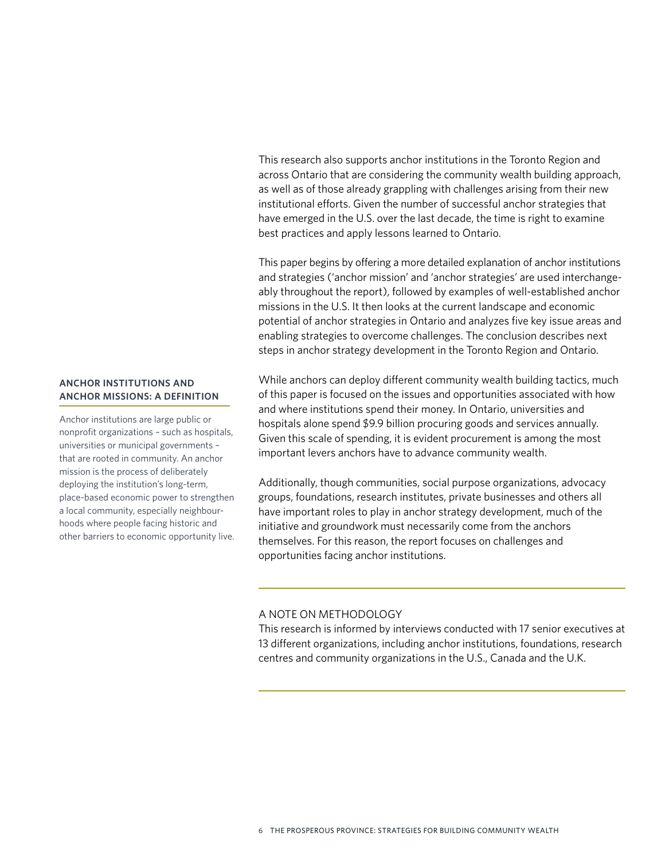This research also supports anchor institutions in the Toronto Region and across Ontario that are considering the community wealth building approach, as well as of those already grappling with challenges arising from their new institutional efforts. Given the number of successful anchor strategies that have emerged in the U.S. over the last decade, the time is right to examine best practices and apply lessons learned to Ontario.

This paper begins by offering a more detailed explanation of anchor institutions and strategies ('anchor mission' and 'anchor strategies' are used interchangeably throughout the report), followed by examples of well-established anchor missions in the U.S. It then looks at the current landscape and economic potential of anchor strategies in Ontario and analyzes five key issue areas and enabling strategies to overcome challenges. The conclusion describes next steps in anchor strategy development in the Toronto Region and Ontario.

While anchors can deploy different community wealth building tactics, much of this paper is focused on the issues and opportunities associated with how and where institutions spend their money. In Ontario, universities and hospitals alone spend \$9.9 billion procuring goods and services annually. Given this scale of spending, it is evident procurement is among the most important levers anchors have to advance community wealth.

Additionally, though communities, social purpose organizations, advocacy groups, foundations, research institutes, private businesses and others all have important roles to play in anchor strategy development, much of the initiative and groundwork must necessarily come from the anchors themselves. For this reason, the report focuses on challenges and opportunities facing anchor institutions.

#### A NOTE ON METHODOLOGY

This research is informed by interviews conducted with 17 senior executives at 13 different organizations, including anchor institutions, foundations, research centres and community organizations in the U.S., Canada and the U.K.

#### **ANCHOR INSTITUTIONS AND ANCHOR MISSIONS: A DEFINITION**

Anchor institutions are large public or nonprofit organizations – such as hospitals, universities or municipal governments – that are rooted in community. An anchor mission is the process of deliberately deploying the institution's long-term, place-based economic power to strengthen a local community, especially neighbourhoods where people facing historic and other barriers to economic opportunity live.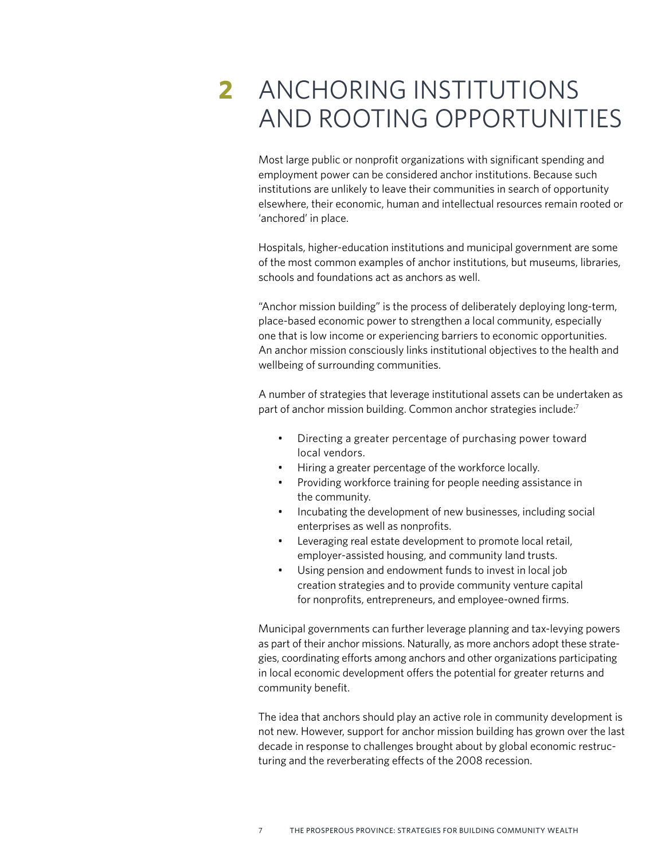# **2** ANCHORING INSTITUTIONS AND ROOTING OPPORTUNITIES

Most large public or nonprofit organizations with significant spending and employment power can be considered anchor institutions. Because such institutions are unlikely to leave their communities in search of opportunity elsewhere, their economic, human and intellectual resources remain rooted or 'anchored' in place.

Hospitals, higher-education institutions and municipal government are some of the most common examples of anchor institutions, but museums, libraries, schools and foundations act as anchors as well.

"Anchor mission building" is the process of deliberately deploying long-term, place-based economic power to strengthen a local community, especially one that is low income or experiencing barriers to economic opportunities. An anchor mission consciously links institutional objectives to the health and wellbeing of surrounding communities.

A number of strategies that leverage institutional assets can be undertaken as part of anchor mission building. Common anchor strategies include:7

- Directing a greater percentage of purchasing power toward local vendors.
- Hiring a greater percentage of the workforce locally.
- Providing workforce training for people needing assistance in the community.
- Incubating the development of new businesses, including social enterprises as well as nonprofits.
- Leveraging real estate development to promote local retail, employer-assisted housing, and community land trusts.
- Using pension and endowment funds to invest in local job creation strategies and to provide community venture capital for nonprofits, entrepreneurs, and employee-owned firms.

Municipal governments can further leverage planning and tax-levying powers as part of their anchor missions. Naturally, as more anchors adopt these strategies, coordinating efforts among anchors and other organizations participating in local economic development offers the potential for greater returns and community benefit.

The idea that anchors should play an active role in community development is not new. However, support for anchor mission building has grown over the last decade in response to challenges brought about by global economic restructuring and the reverberating effects of the 2008 recession.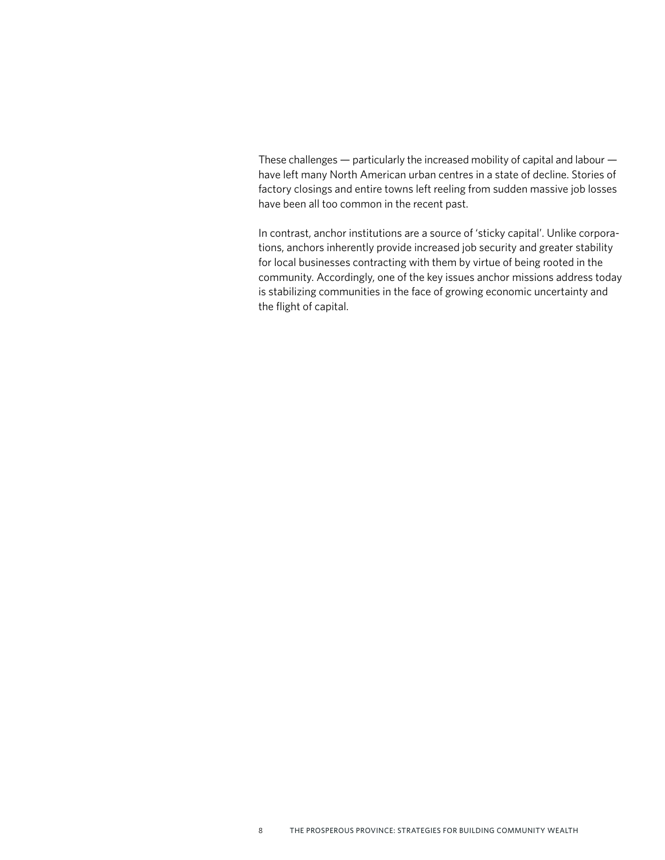These challenges — particularly the increased mobility of capital and labour have left many North American urban centres in a state of decline. Stories of factory closings and entire towns left reeling from sudden massive job losses have been all too common in the recent past.

In contrast, anchor institutions are a source of 'sticky capital'. Unlike corporations, anchors inherently provide increased job security and greater stability for local businesses contracting with them by virtue of being rooted in the community. Accordingly, one of the key issues anchor missions address today is stabilizing communities in the face of growing economic uncertainty and the flight of capital.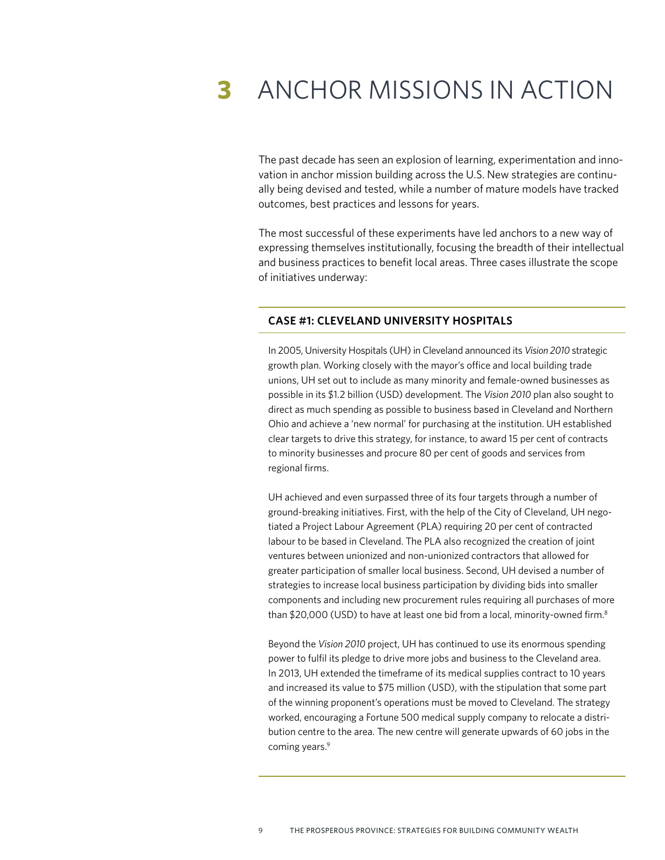# **3** ANCHOR MISSIONS IN ACTION

The past decade has seen an explosion of learning, experimentation and innovation in anchor mission building across the U.S. New strategies are continually being devised and tested, while a number of mature models have tracked outcomes, best practices and lessons for years.

The most successful of these experiments have led anchors to a new way of expressing themselves institutionally, focusing the breadth of their intellectual and business practices to benefit local areas. Three cases illustrate the scope of initiatives underway:

#### **CASE #1: CLEVELAND UNIVERSITY HOSPITALS**

In 2005, University Hospitals (UH) in Cleveland announced its *Vision 2010* strategic growth plan. Working closely with the mayor's office and local building trade unions, UH set out to include as many minority and female-owned businesses as possible in its \$1.2 billion (USD) development. The *Vision 2010* plan also sought to direct as much spending as possible to business based in Cleveland and Northern Ohio and achieve a 'new normal' for purchasing at the institution. UH established clear targets to drive this strategy, for instance, to award 15 per cent of contracts to minority businesses and procure 80 per cent of goods and services from regional firms.

UH achieved and even surpassed three of its four targets through a number of ground-breaking initiatives. First, with the help of the City of Cleveland, UH negotiated a Project Labour Agreement (PLA) requiring 20 per cent of contracted labour to be based in Cleveland. The PLA also recognized the creation of joint ventures between unionized and non-unionized contractors that allowed for greater participation of smaller local business. Second, UH devised a number of strategies to increase local business participation by dividing bids into smaller components and including new procurement rules requiring all purchases of more than \$20,000 (USD) to have at least one bid from a local, minority-owned firm.<sup>8</sup>

Beyond the *Vision 2010* project, UH has continued to use its enormous spending power to fulfil its pledge to drive more jobs and business to the Cleveland area. In 2013, UH extended the timeframe of its medical supplies contract to 10 years and increased its value to \$75 million (USD), with the stipulation that some part of the winning proponent's operations must be moved to Cleveland. The strategy worked, encouraging a Fortune 500 medical supply company to relocate a distribution centre to the area. The new centre will generate upwards of 60 jobs in the coming years.<sup>9</sup>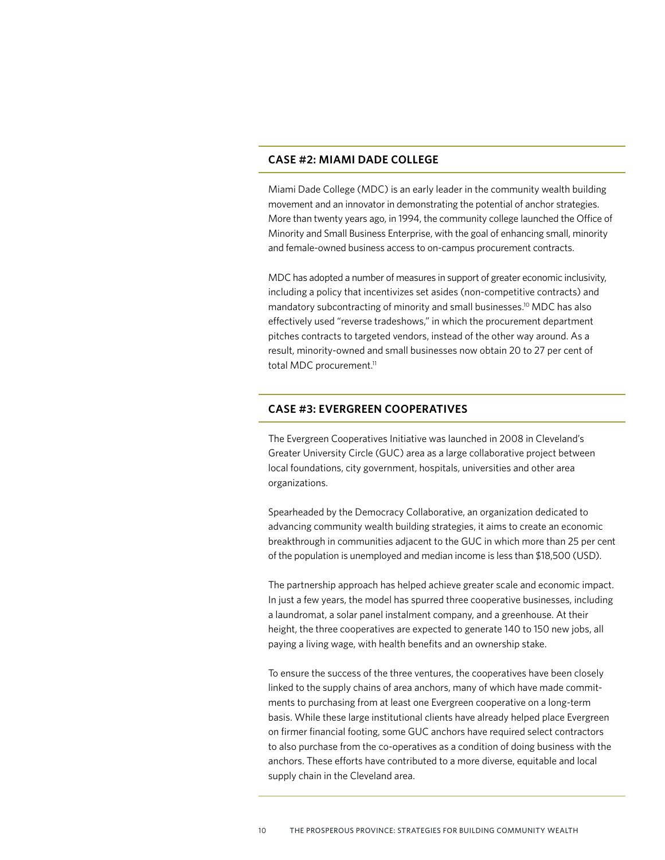#### **CASE #2: MIAMI DADE COLLEGE**

Miami Dade College (MDC) is an early leader in the community wealth building movement and an innovator in demonstrating the potential of anchor strategies. More than twenty years ago, in 1994, the community college launched the Office of Minority and Small Business Enterprise, with the goal of enhancing small, minority and female-owned business access to on-campus procurement contracts.

MDC has adopted a number of measures in support of greater economic inclusivity, including a policy that incentivizes set asides (non-competitive contracts) and mandatory subcontracting of minority and small businesses.10 MDC has also effectively used "reverse tradeshows," in which the procurement department pitches contracts to targeted vendors, instead of the other way around. As a result, minority-owned and small businesses now obtain 20 to 27 per cent of total MDC procurement.<sup>11</sup>

#### **CASE #3: EVERGREEN COOPERATIVES**

The Evergreen Cooperatives Initiative was launched in 2008 in Cleveland's Greater University Circle (GUC) area as a large collaborative project between local foundations, city government, hospitals, universities and other area organizations.

Spearheaded by the Democracy Collaborative, an organization dedicated to advancing community wealth building strategies, it aims to create an economic breakthrough in communities adjacent to the GUC in which more than 25 per cent of the population is unemployed and median income is less than \$18,500 (USD).

The partnership approach has helped achieve greater scale and economic impact. In just a few years, the model has spurred three cooperative businesses, including a laundromat, a solar panel instalment company, and a greenhouse. At their height, the three cooperatives are expected to generate 140 to 150 new jobs, all paying a living wage, with health benefits and an ownership stake.

To ensure the success of the three ventures, the cooperatives have been closely linked to the supply chains of area anchors, many of which have made commitments to purchasing from at least one Evergreen cooperative on a long-term basis. While these large institutional clients have already helped place Evergreen on firmer financial footing, some GUC anchors have required select contractors to also purchase from the co-operatives as a condition of doing business with the anchors. These efforts have contributed to a more diverse, equitable and local supply chain in the Cleveland area.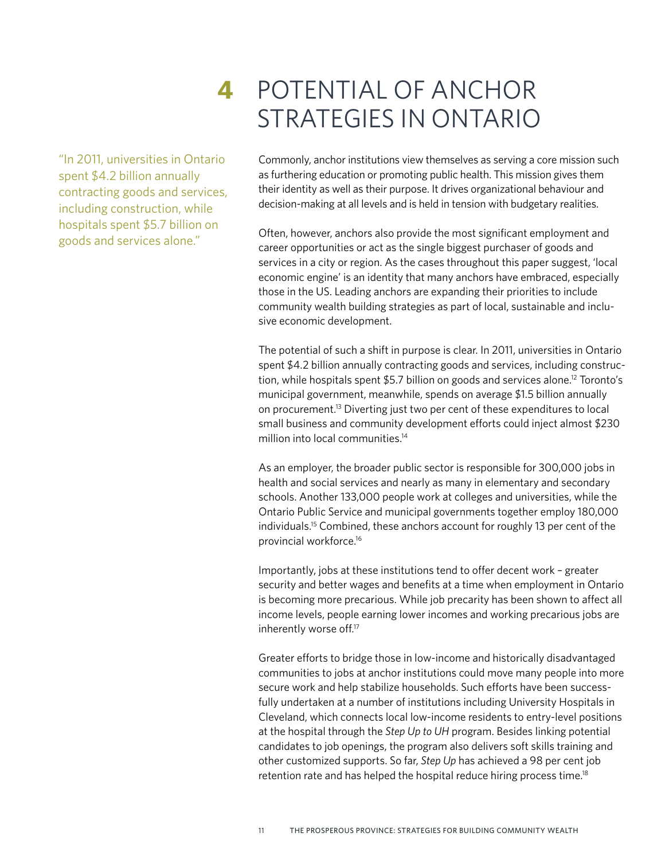"In 2011, universities in Ontario spent \$4.2 billion annually contracting goods and services, including construction, while hospitals spent \$5.7 billion on goods and services alone."

# **4** POTENTIAL OF ANCHOR STRATEGIES IN ONTARIO

Commonly, anchor institutions view themselves as serving a core mission such as furthering education or promoting public health. This mission gives them their identity as well as their purpose. It drives organizational behaviour and decision-making at all levels and is held in tension with budgetary realities.

Often, however, anchors also provide the most significant employment and career opportunities or act as the single biggest purchaser of goods and services in a city or region. As the cases throughout this paper suggest, 'local economic engine' is an identity that many anchors have embraced, especially those in the US. Leading anchors are expanding their priorities to include community wealth building strategies as part of local, sustainable and inclusive economic development.

The potential of such a shift in purpose is clear. In 2011, universities in Ontario spent \$4.2 billion annually contracting goods and services, including construction, while hospitals spent \$5.7 billion on goods and services alone.<sup>12</sup> Toronto's municipal government, meanwhile, spends on average \$1.5 billion annually on procurement.13 Diverting just two per cent of these expenditures to local small business and community development efforts could inject almost \$230 million into local communities.<sup>14</sup>

As an employer, the broader public sector is responsible for 300,000 jobs in health and social services and nearly as many in elementary and secondary schools. Another 133,000 people work at colleges and universities, while the Ontario Public Service and municipal governments together employ 180,000 individuals.15 Combined, these anchors account for roughly 13 per cent of the provincial workforce.16

Importantly, jobs at these institutions tend to offer decent work – greater security and better wages and benefits at a time when employment in Ontario is becoming more precarious. While job precarity has been shown to affect all income levels, people earning lower incomes and working precarious jobs are inherently worse off.17

Greater efforts to bridge those in low-income and historically disadvantaged communities to jobs at anchor institutions could move many people into more secure work and help stabilize households. Such efforts have been successfully undertaken at a number of institutions including University Hospitals in Cleveland, which connects local low-income residents to entry-level positions at the hospital through the *Step Up to UH* program. Besides linking potential candidates to job openings, the program also delivers soft skills training and other customized supports. So far, *Step Up* has achieved a 98 per cent job retention rate and has helped the hospital reduce hiring process time.<sup>18</sup>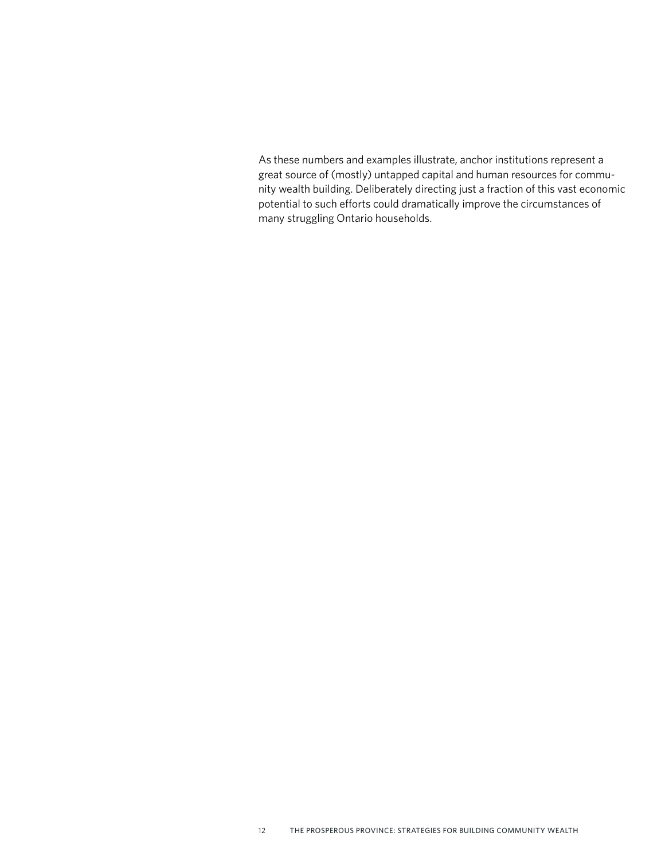As these numbers and examples illustrate, anchor institutions represent a great source of (mostly) untapped capital and human resources for community wealth building. Deliberately directing just a fraction of this vast economic potential to such efforts could dramatically improve the circumstances of many struggling Ontario households.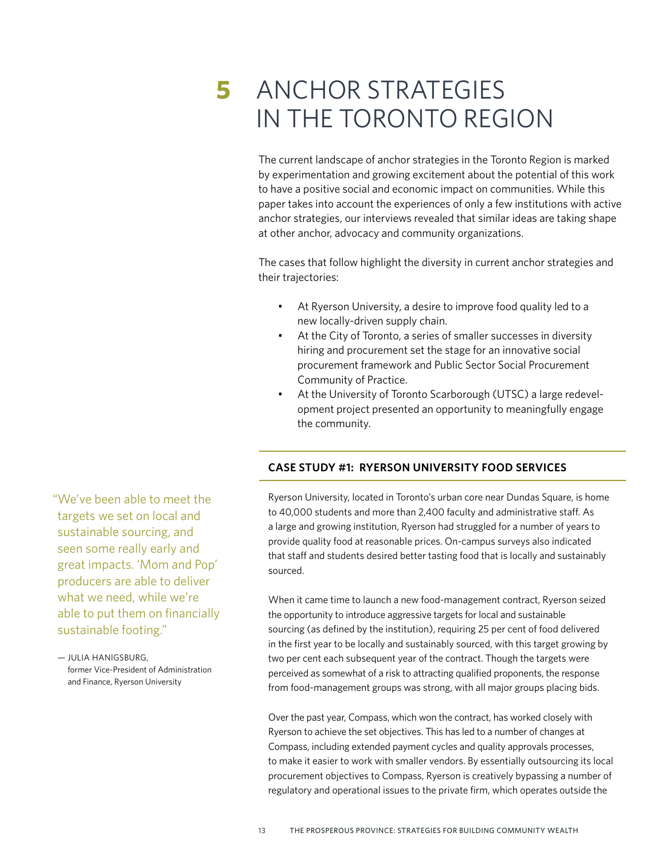# **5** ANCHOR STRATEGIES IN THE TORONTO REGION

The current landscape of anchor strategies in the Toronto Region is marked by experimentation and growing excitement about the potential of this work to have a positive social and economic impact on communities. While this paper takes into account the experiences of only a few institutions with active anchor strategies, our interviews revealed that similar ideas are taking shape at other anchor, advocacy and community organizations.

The cases that follow highlight the diversity in current anchor strategies and their trajectories:

- At Ryerson University, a desire to improve food quality led to a new locally-driven supply chain.
- At the City of Toronto, a series of smaller successes in diversity hiring and procurement set the stage for an innovative social procurement framework and Public Sector Social Procurement Community of Practice.
- At the University of Toronto Scarborough (UTSC) a large redevelopment project presented an opportunity to meaningfully engage the community.

# **CASE STUDY #1: RYERSON UNIVERSITY FOOD SERVICES**

Ryerson University, located in Toronto's urban core near Dundas Square, is home to 40,000 students and more than 2,400 faculty and administrative staff. As a large and growing institution, Ryerson had struggled for a number of years to provide quality food at reasonable prices. On-campus surveys also indicated that staff and students desired better tasting food that is locally and sustainably sourced.

When it came time to launch a new food-management contract, Ryerson seized the opportunity to introduce aggressive targets for local and sustainable sourcing (as defined by the institution), requiring 25 per cent of food delivered in the first year to be locally and sustainably sourced, with this target growing by two per cent each subsequent year of the contract. Though the targets were perceived as somewhat of a risk to attracting qualified proponents, the response from food-management groups was strong, with all major groups placing bids.

Over the past year, Compass, which won the contract, has worked closely with Ryerson to achieve the set objectives. This has led to a number of changes at Compass, including extended payment cycles and quality approvals processes, to make it easier to work with smaller vendors. By essentially outsourcing its local procurement objectives to Compass, Ryerson is creatively bypassing a number of regulatory and operational issues to the private firm, which operates outside the

"We've been able to meet the targets we set on local and sustainable sourcing, and seen some really early and great impacts. 'Mom and Pop' producers are able to deliver what we need, while we're able to put them on financially sustainable footing."

— JULIA HANIGSBURG, former Vice-President of Administration and Finance, Ryerson University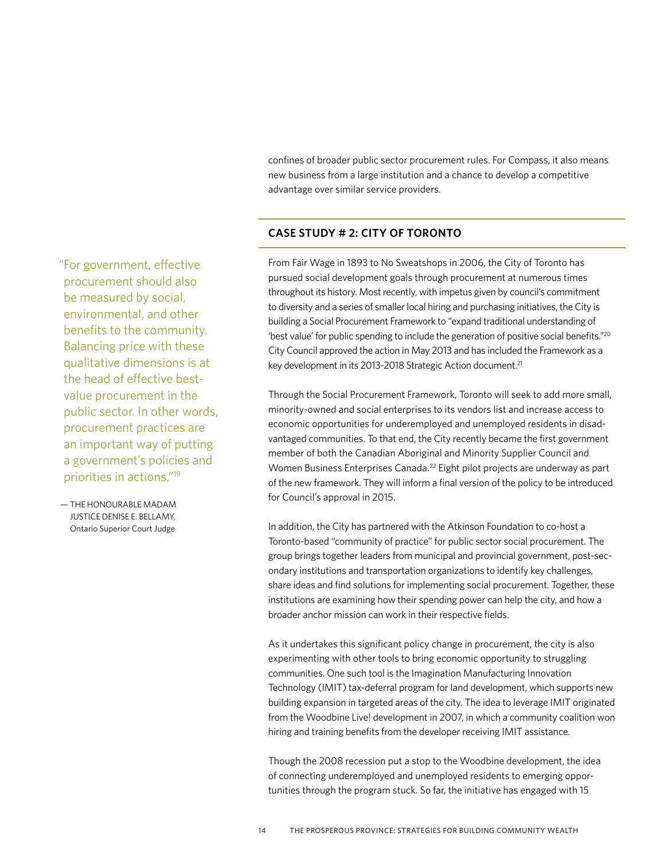confines of broader public sector procurement rules. For Compass, it also means new business from a large institution and a chance to develop a competitive advantage over similar service providers.

## **CASE STUDY # 2: CITY OF TORONTO**

"For government, effective procurement should also be measured by social, environmental, and other benefits to the community. Balancing price with these qualitative dimensions is at the head of effective bestvalue procurement in the public sector. In other words, procurement practices are an important way of putting a government's policies and priorities in actions."19

— THE HONOURABLE MADAM JUSTICE DENISE E. BELLAMY, Ontario Superior Court Judge

From Fair Wage in 1893 to No Sweatshops in 2006, the City of Toronto has pursued social development goals through procurement at numerous times throughout its history. Most recently, with impetus given by council's commitment to diversity and a series of smaller local hiring and purchasing initiatives, the City is building a Social Procurement Framework to "expand traditional understanding of 'best value' for public spending to include the generation of positive social benefits."20 City Council approved the action in May 2013 and has included the Framework as a key development in its 2013-2018 Strategic Action document.<sup>21</sup>

Through the Social Procurement Framework, Toronto will seek to add more small, minority-owned and social enterprises to its vendors list and increase access to economic opportunities for underemployed and unemployed residents in disadvantaged communities. To that end, the City recently became the first government member of both the Canadian Aboriginal and Minority Supplier Council and Women Business Enterprises Canada.22 Eight pilot projects are underway as part of the new framework. They will inform a final version of the policy to be introduced for Council's approval in 2015.

In addition, the City has partnered with the Atkinson Foundation to co-host a Toronto-based "community of practice" for public sector social procurement. The group brings together leaders from municipal and provincial government, post-secondary institutions and transportation organizations to identify key challenges, share ideas and find solutions for implementing social procurement. Together, these institutions are examining how their spending power can help the city, and how a broader anchor mission can work in their respective fields.

As it undertakes this significant policy change in procurement, the city is also experimenting with other tools to bring economic opportunity to struggling communities. One such tool is the Imagination Manufacturing Innovation Technology (IMIT) tax-deferral program for land development, which supports new building expansion in targeted areas of the city. The idea to leverage IMIT originated from the Woodbine Live! development in 2007, in which a community coalition won hiring and training benefits from the developer receiving IMIT assistance.

Though the 2008 recession put a stop to the Woodbine development, the idea of connecting underemployed and unemployed residents to emerging opportunities through the program stuck. So far, the initiative has engaged with 15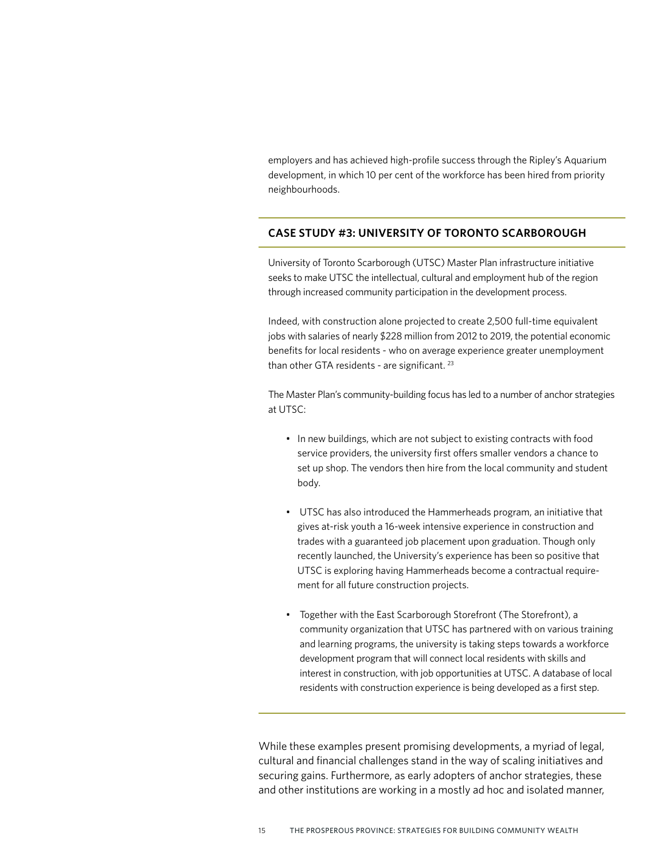employers and has achieved high-profile success through the Ripley's Aquarium development, in which 10 per cent of the workforce has been hired from priority neighbourhoods.

# **CASE STUDY #3: UNIVERSITY OF TORONTO SCARBOROUGH**

University of Toronto Scarborough (UTSC) Master Plan infrastructure initiative seeks to make UTSC the intellectual, cultural and employment hub of the region through increased community participation in the development process.

Indeed, with construction alone projected to create 2,500 full-time equivalent jobs with salaries of nearly \$228 million from 2012 to 2019, the potential economic benefits for local residents - who on average experience greater unemployment than other GTA residents - are significant.<sup>23</sup>

The Master Plan's community-building focus has led to a number of anchor strategies at UTSC:

- In new buildings, which are not subject to existing contracts with food service providers, the university first offers smaller vendors a chance to set up shop. The vendors then hire from the local community and student body.
- UTSC has also introduced the Hammerheads program, an initiative that gives at-risk youth a 16-week intensive experience in construction and trades with a guaranteed job placement upon graduation. Though only recently launched, the University's experience has been so positive that UTSC is exploring having Hammerheads become a contractual requirement for all future construction projects.
- Together with the East Scarborough Storefront (The Storefront), a community organization that UTSC has partnered with on various training and learning programs, the university is taking steps towards a workforce development program that will connect local residents with skills and interest in construction, with job opportunities at UTSC. A database of local residents with construction experience is being developed as a first step.

While these examples present promising developments, a myriad of legal, cultural and financial challenges stand in the way of scaling initiatives and securing gains. Furthermore, as early adopters of anchor strategies, these and other institutions are working in a mostly ad hoc and isolated manner,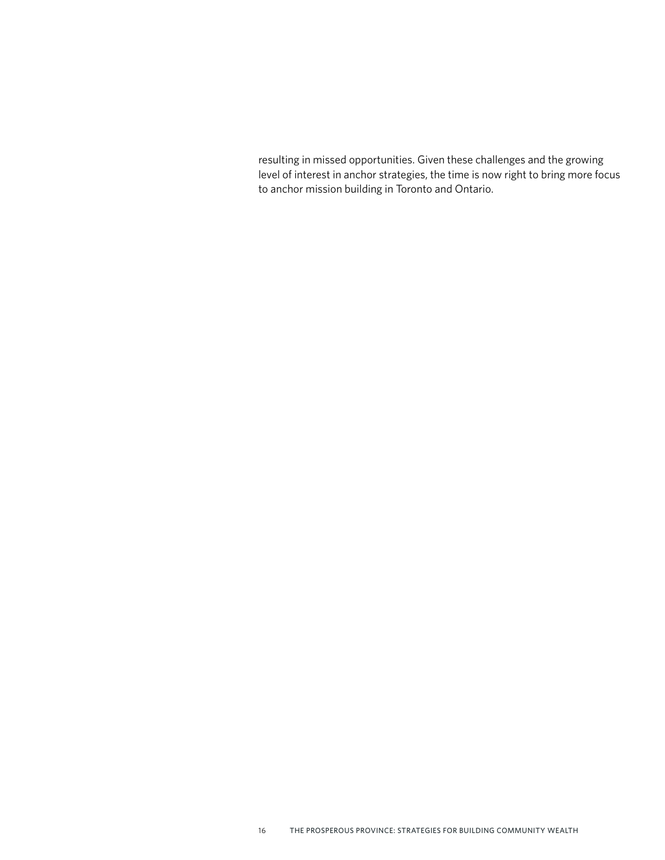resulting in missed opportunities. Given these challenges and the growing level of interest in anchor strategies, the time is now right to bring more focus to anchor mission building in Toronto and Ontario.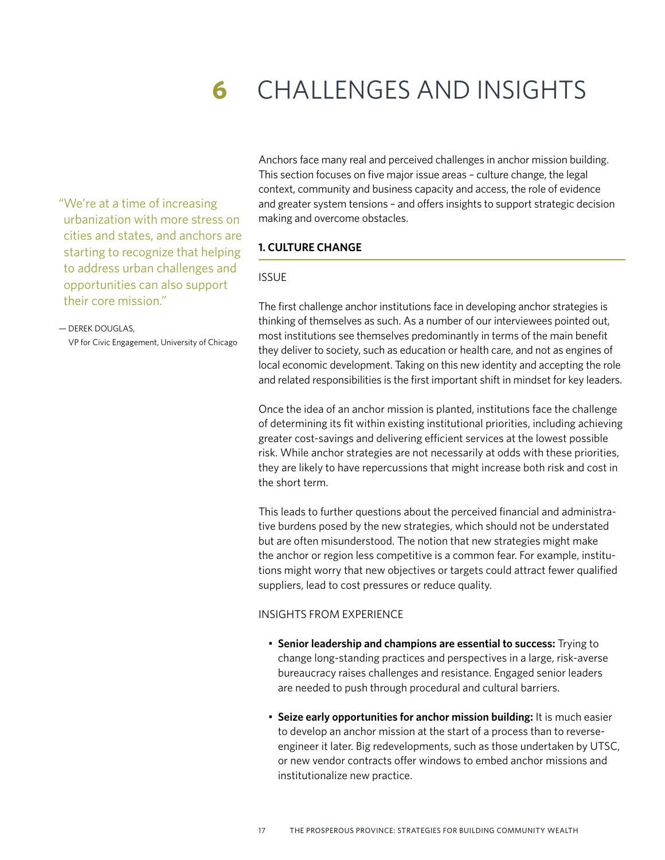# **6** CHALLENGES AND INSIGHTS

"We're at a time of increasing urbanization with more stress on cities and states, and anchors are starting to recognize that helping to address urban challenges and opportunities can also support their core mission."

#### — DEREK DOUGLAS,

VP for Civic Engagement, University of Chicago

Anchors face many real and perceived challenges in anchor mission building. This section focuses on five major issue areas – culture change, the legal context, community and business capacity and access, the role of evidence and greater system tensions – and offers insights to support strategic decision making and overcome obstacles.

#### **1. CULTURE CHANGE**

#### ISSUE

The first challenge anchor institutions face in developing anchor strategies is thinking of themselves as such. As a number of our interviewees pointed out, most institutions see themselves predominantly in terms of the main benefit they deliver to society, such as education or health care, and not as engines of local economic development. Taking on this new identity and accepting the role and related responsibilities is the first important shift in mindset for key leaders.

Once the idea of an anchor mission is planted, institutions face the challenge of determining its fit within existing institutional priorities, including achieving greater cost-savings and delivering efficient services at the lowest possible risk. While anchor strategies are not necessarily at odds with these priorities, they are likely to have repercussions that might increase both risk and cost in the short term.

This leads to further questions about the perceived financial and administrative burdens posed by the new strategies, which should not be understated but are often misunderstood. The notion that new strategies might make the anchor or region less competitive is a common fear. For example, institutions might worry that new objectives or targets could attract fewer qualified suppliers, lead to cost pressures or reduce quality.

#### INSIGHTS FROM EXPERIENCE

- **Senior leadership and champions are essential to success:** Trying to change long-standing practices and perspectives in a large, risk-averse bureaucracy raises challenges and resistance. Engaged senior leaders are needed to push through procedural and cultural barriers.
- **Seize early opportunities for anchor mission building:** It is much easier to develop an anchor mission at the start of a process than to reverseengineer it later. Big redevelopments, such as those undertaken by UTSC, or new vendor contracts offer windows to embed anchor missions and institutionalize new practice.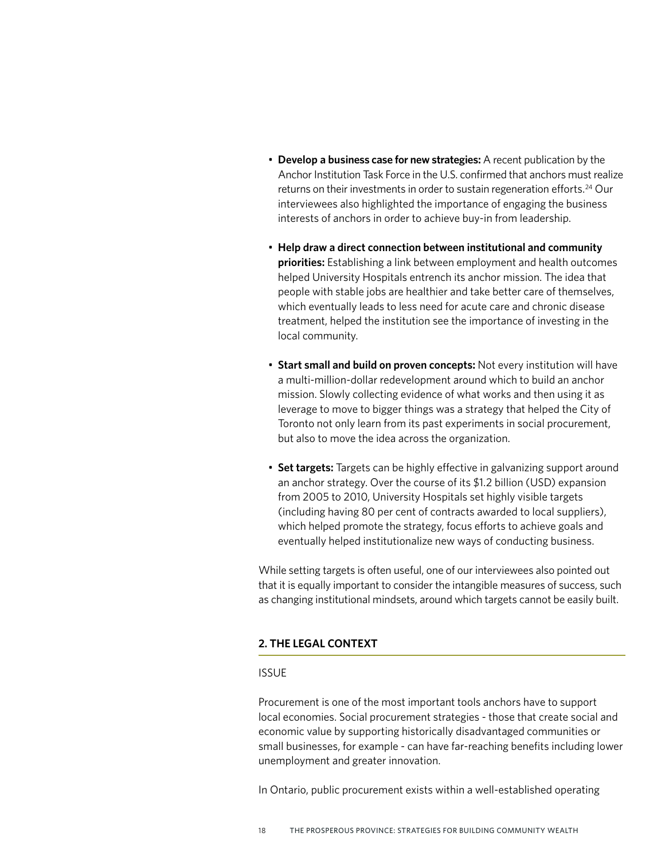- **Develop a business case for new strategies:** A recent publication by the Anchor Institution Task Force in the U.S. confirmed that anchors must realize returns on their investments in order to sustain regeneration efforts.<sup>24</sup> Our interviewees also highlighted the importance of engaging the business interests of anchors in order to achieve buy-in from leadership.
- **Help draw a direct connection between institutional and community priorities:** Establishing a link between employment and health outcomes helped University Hospitals entrench its anchor mission. The idea that people with stable jobs are healthier and take better care of themselves, which eventually leads to less need for acute care and chronic disease treatment, helped the institution see the importance of investing in the local community.
- **Start small and build on proven concepts:** Not every institution will have a multi-million-dollar redevelopment around which to build an anchor mission. Slowly collecting evidence of what works and then using it as leverage to move to bigger things was a strategy that helped the City of Toronto not only learn from its past experiments in social procurement, but also to move the idea across the organization.
- **Set targets:** Targets can be highly effective in galvanizing support around an anchor strategy. Over the course of its \$1.2 billion (USD) expansion from 2005 to 2010, University Hospitals set highly visible targets (including having 80 per cent of contracts awarded to local suppliers), which helped promote the strategy, focus efforts to achieve goals and eventually helped institutionalize new ways of conducting business.

While setting targets is often useful, one of our interviewees also pointed out that it is equally important to consider the intangible measures of success, such as changing institutional mindsets, around which targets cannot be easily built.

### **2. THE LEGAL CONTEXT**

#### ISSUE

Procurement is one of the most important tools anchors have to support local economies. Social procurement strategies - those that create social and economic value by supporting historically disadvantaged communities or small businesses, for example - can have far-reaching benefits including lower unemployment and greater innovation.

In Ontario, public procurement exists within a well-established operating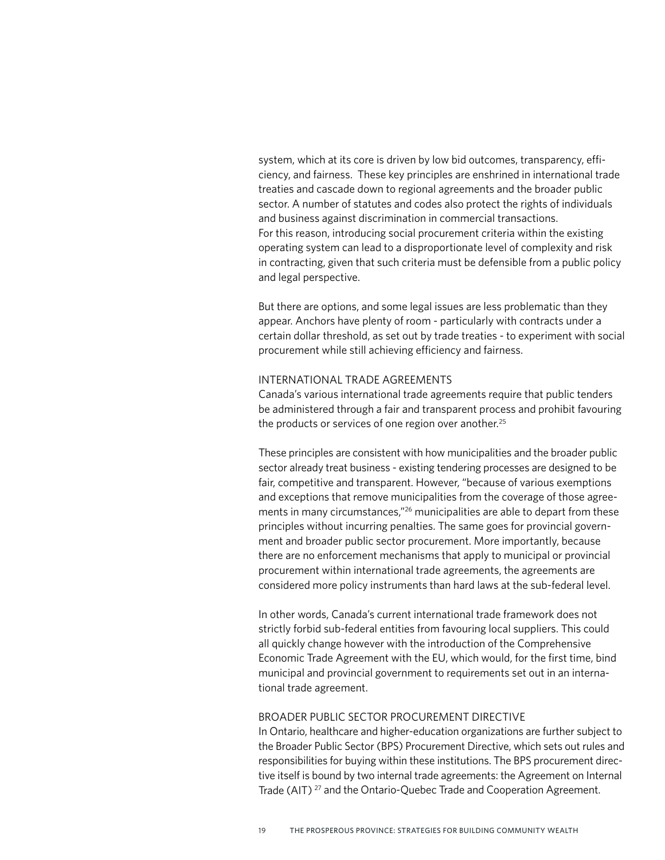system, which at its core is driven by low bid outcomes, transparency, efficiency, and fairness. These key principles are enshrined in international trade treaties and cascade down to regional agreements and the broader public sector. A number of statutes and codes also protect the rights of individuals and business against discrimination in commercial transactions. For this reason, introducing social procurement criteria within the existing operating system can lead to a disproportionate level of complexity and risk in contracting, given that such criteria must be defensible from a public policy and legal perspective.

But there are options, and some legal issues are less problematic than they appear. Anchors have plenty of room - particularly with contracts under a certain dollar threshold, as set out by trade treaties - to experiment with social procurement while still achieving efficiency and fairness.

#### INTERNATIONAL TRADE AGREEMENTS

Canada's various international trade agreements require that public tenders be administered through a fair and transparent process and prohibit favouring the products or services of one region over another.<sup>25</sup>

These principles are consistent with how municipalities and the broader public sector already treat business - existing tendering processes are designed to be fair, competitive and transparent. However, "because of various exemptions and exceptions that remove municipalities from the coverage of those agreements in many circumstances,"<sup>26</sup> municipalities are able to depart from these principles without incurring penalties. The same goes for provincial government and broader public sector procurement. More importantly, because there are no enforcement mechanisms that apply to municipal or provincial procurement within international trade agreements, the agreements are considered more policy instruments than hard laws at the sub-federal level.

In other words, Canada's current international trade framework does not strictly forbid sub-federal entities from favouring local suppliers. This could all quickly change however with the introduction of the Comprehensive Economic Trade Agreement with the EU, which would, for the first time, bind municipal and provincial government to requirements set out in an international trade agreement.

#### BROADER PUBLIC SECTOR PROCUREMENT DIRECTIVE

In Ontario, healthcare and higher-education organizations are further subject to the Broader Public Sector (BPS) Procurement Directive, which sets out rules and responsibilities for buying within these institutions. The BPS procurement directive itself is bound by two internal trade agreements: the Agreement on Internal Trade (AIT) 27 and the Ontario-Quebec Trade and Cooperation Agreement.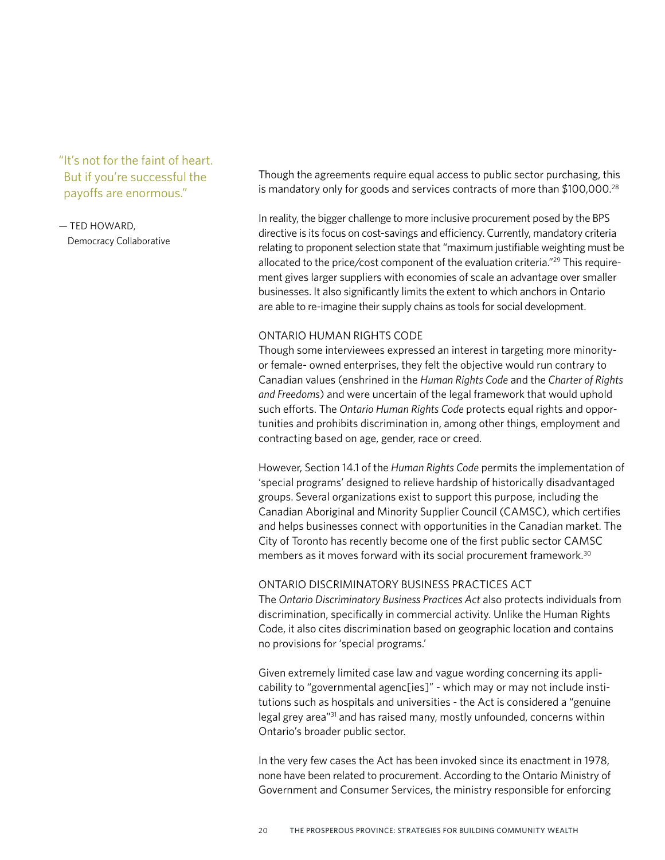"It's not for the faint of heart. But if you're successful the payoffs are enormous."

— TED HOWARD, Democracy Collaborative Though the agreements require equal access to public sector purchasing, this is mandatory only for goods and services contracts of more than \$100,000.<sup>28</sup>

In reality, the bigger challenge to more inclusive procurement posed by the BPS directive is its focus on cost-savings and efficiency. Currently, mandatory criteria relating to proponent selection state that "maximum justifiable weighting must be allocated to the price/cost component of the evaluation criteria."<sup>29</sup> This requirement gives larger suppliers with economies of scale an advantage over smaller businesses. It also significantly limits the extent to which anchors in Ontario are able to re-imagine their supply chains as tools for social development.

#### ONTARIO HUMAN RIGHTS CODE

Though some interviewees expressed an interest in targeting more minorityor female- owned enterprises, they felt the objective would run contrary to Canadian values (enshrined in the *Human Rights Code* and the *Charter of Rights and Freedoms*) and were uncertain of the legal framework that would uphold such efforts. The *Ontario Human Rights Code* protects equal rights and opportunities and prohibits discrimination in, among other things, employment and contracting based on age, gender, race or creed.

However, Section 14.1 of the *Human Rights Code* permits the implementation of 'special programs' designed to relieve hardship of historically disadvantaged groups. Several organizations exist to support this purpose, including the Canadian Aboriginal and Minority Supplier Council (CAMSC), which certifies and helps businesses connect with opportunities in the Canadian market. The City of Toronto has recently become one of the first public sector CAMSC members as it moves forward with its social procurement framework.<sup>30</sup>

#### ONTARIO DISCRIMINATORY BUSINESS PRACTICES ACT

The *Ontario Discriminatory Business Practices Act* also protects individuals from discrimination, specifically in commercial activity. Unlike the Human Rights Code, it also cites discrimination based on geographic location and contains no provisions for 'special programs.'

Given extremely limited case law and vague wording concerning its applicability to "governmental agenc[ies]" - which may or may not include institutions such as hospitals and universities - the Act is considered a "genuine legal grey area<sup>"31</sup> and has raised many, mostly unfounded, concerns within Ontario's broader public sector.

In the very few cases the Act has been invoked since its enactment in 1978, none have been related to procurement. According to the Ontario Ministry of Government and Consumer Services, the ministry responsible for enforcing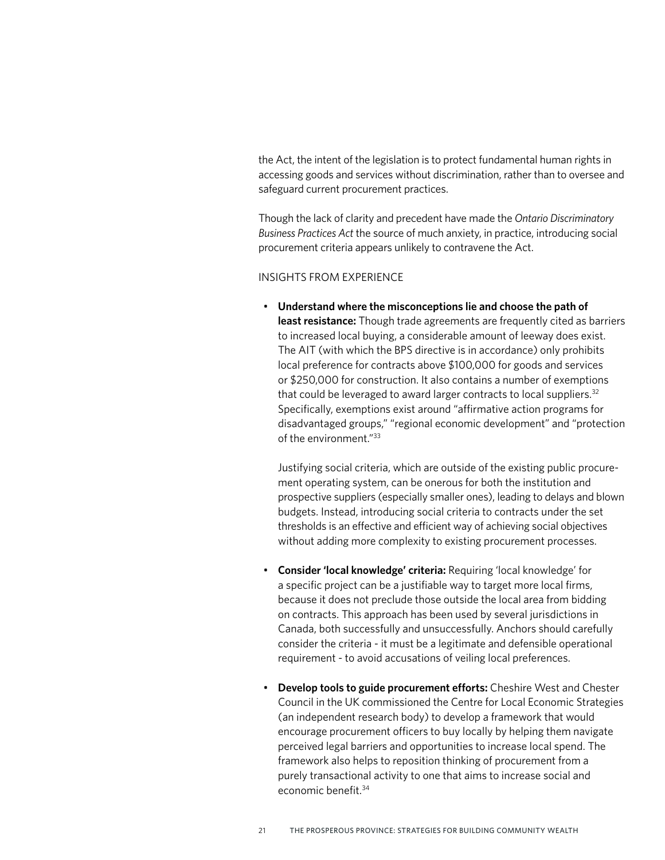the Act, the intent of the legislation is to protect fundamental human rights in accessing goods and services without discrimination, rather than to oversee and safeguard current procurement practices.

Though the lack of clarity and precedent have made the *Ontario Discriminatory Business Practices Act* the source of much anxiety, in practice, introducing social procurement criteria appears unlikely to contravene the Act.

### INSIGHTS FROM EXPERIENCE

• **Understand where the misconceptions lie and choose the path of least resistance:** Though trade agreements are frequently cited as barriers to increased local buying, a considerable amount of leeway does exist. The AIT (with which the BPS directive is in accordance) only prohibits local preference for contracts above \$100,000 for goods and services or \$250,000 for construction. It also contains a number of exemptions that could be leveraged to award larger contracts to local suppliers.<sup>32</sup> Specifically, exemptions exist around "affirmative action programs for disadvantaged groups," "regional economic development" and "protection of the environment."33

Justifying social criteria, which are outside of the existing public procurement operating system, can be onerous for both the institution and prospective suppliers (especially smaller ones), leading to delays and blown budgets. Instead, introducing social criteria to contracts under the set thresholds is an effective and efficient way of achieving social objectives without adding more complexity to existing procurement processes.

- **Consider 'local knowledge' criteria:** Requiring 'local knowledge' for a specific project can be a justifiable way to target more local firms, because it does not preclude those outside the local area from bidding on contracts. This approach has been used by several jurisdictions in Canada, both successfully and unsuccessfully. Anchors should carefully consider the criteria - it must be a legitimate and defensible operational requirement - to avoid accusations of veiling local preferences.
- **Develop tools to guide procurement efforts:** Cheshire West and Chester Council in the UK commissioned the Centre for Local Economic Strategies (an independent research body) to develop a framework that would encourage procurement officers to buy locally by helping them navigate perceived legal barriers and opportunities to increase local spend. The framework also helps to reposition thinking of procurement from a purely transactional activity to one that aims to increase social and economic benefit.34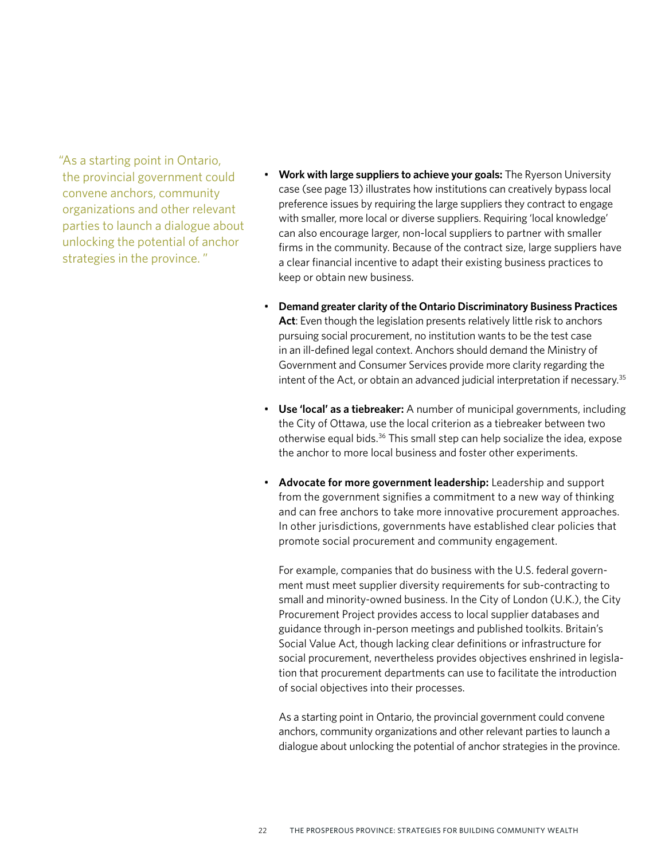"As a starting point in Ontario, the provincial government could convene anchors, community organizations and other relevant parties to launch a dialogue about unlocking the potential of anchor strategies in the province. "

- **Work with large suppliers to achieve your goals:** The Ryerson University case (see page 13) illustrates how institutions can creatively bypass local preference issues by requiring the large suppliers they contract to engage with smaller, more local or diverse suppliers. Requiring 'local knowledge' can also encourage larger, non-local suppliers to partner with smaller firms in the community. Because of the contract size, large suppliers have a clear financial incentive to adapt their existing business practices to keep or obtain new business.
- **Demand greater clarity of the Ontario Discriminatory Business Practices Act**: Even though the legislation presents relatively little risk to anchors pursuing social procurement, no institution wants to be the test case in an ill-defined legal context. Anchors should demand the Ministry of Government and Consumer Services provide more clarity regarding the intent of the Act, or obtain an advanced judicial interpretation if necessary.<sup>35</sup>
- **Use 'local' as a tiebreaker:** A number of municipal governments, including the City of Ottawa, use the local criterion as a tiebreaker between two otherwise equal bids.<sup>36</sup> This small step can help socialize the idea, expose the anchor to more local business and foster other experiments.
- **Advocate for more government leadership:** Leadership and support from the government signifies a commitment to a new way of thinking and can free anchors to take more innovative procurement approaches. In other jurisdictions, governments have established clear policies that promote social procurement and community engagement.

For example, companies that do business with the U.S. federal government must meet supplier diversity requirements for sub-contracting to small and minority-owned business. In the City of London (U.K.), the City Procurement Project provides access to local supplier databases and guidance through in-person meetings and published toolkits. Britain's Social Value Act, though lacking clear definitions or infrastructure for social procurement, nevertheless provides objectives enshrined in legislation that procurement departments can use to facilitate the introduction of social objectives into their processes.

As a starting point in Ontario, the provincial government could convene anchors, community organizations and other relevant parties to launch a dialogue about unlocking the potential of anchor strategies in the province.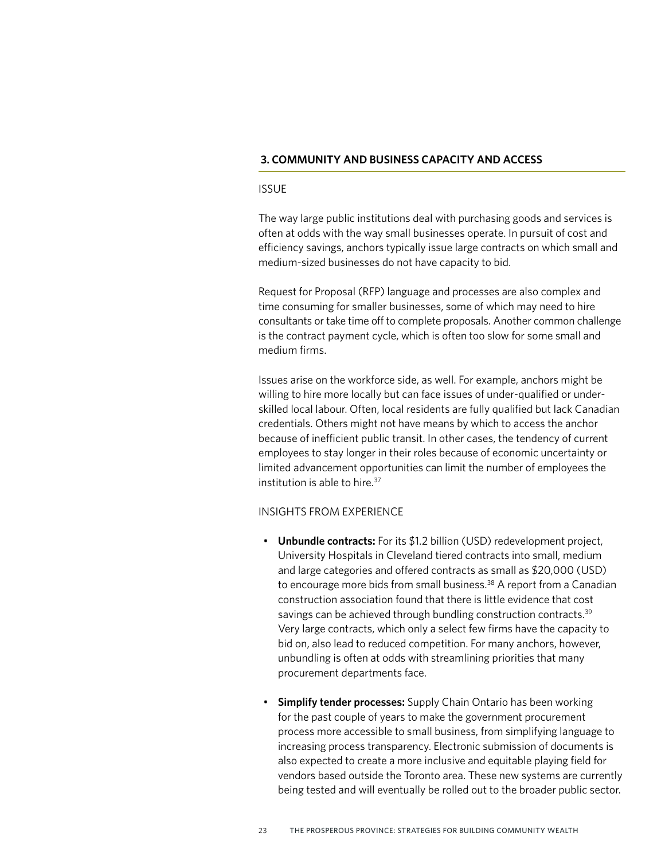### **3. COMMUNITY AND BUSINESS CAPACITY AND ACCESS**

#### ISSUE

The way large public institutions deal with purchasing goods and services is often at odds with the way small businesses operate. In pursuit of cost and efficiency savings, anchors typically issue large contracts on which small and medium-sized businesses do not have capacity to bid.

Request for Proposal (RFP) language and processes are also complex and time consuming for smaller businesses, some of which may need to hire consultants or take time off to complete proposals. Another common challenge is the contract payment cycle, which is often too slow for some small and medium firms.

Issues arise on the workforce side, as well. For example, anchors might be willing to hire more locally but can face issues of under-qualified or underskilled local labour. Often, local residents are fully qualified but lack Canadian credentials. Others might not have means by which to access the anchor because of inefficient public transit. In other cases, the tendency of current employees to stay longer in their roles because of economic uncertainty or limited advancement opportunities can limit the number of employees the institution is able to hire.37

#### INSIGHTS FROM EXPERIENCE

- **Unbundle contracts:** For its \$1.2 billion (USD) redevelopment project, University Hospitals in Cleveland tiered contracts into small, medium and large categories and offered contracts as small as \$20,000 (USD) to encourage more bids from small business.<sup>38</sup> A report from a Canadian construction association found that there is little evidence that cost savings can be achieved through bundling construction contracts.<sup>39</sup> Very large contracts, which only a select few firms have the capacity to bid on, also lead to reduced competition. For many anchors, however, unbundling is often at odds with streamlining priorities that many procurement departments face.
- **Simplify tender processes:** Supply Chain Ontario has been working for the past couple of years to make the government procurement process more accessible to small business, from simplifying language to increasing process transparency. Electronic submission of documents is also expected to create a more inclusive and equitable playing field for vendors based outside the Toronto area. These new systems are currently being tested and will eventually be rolled out to the broader public sector.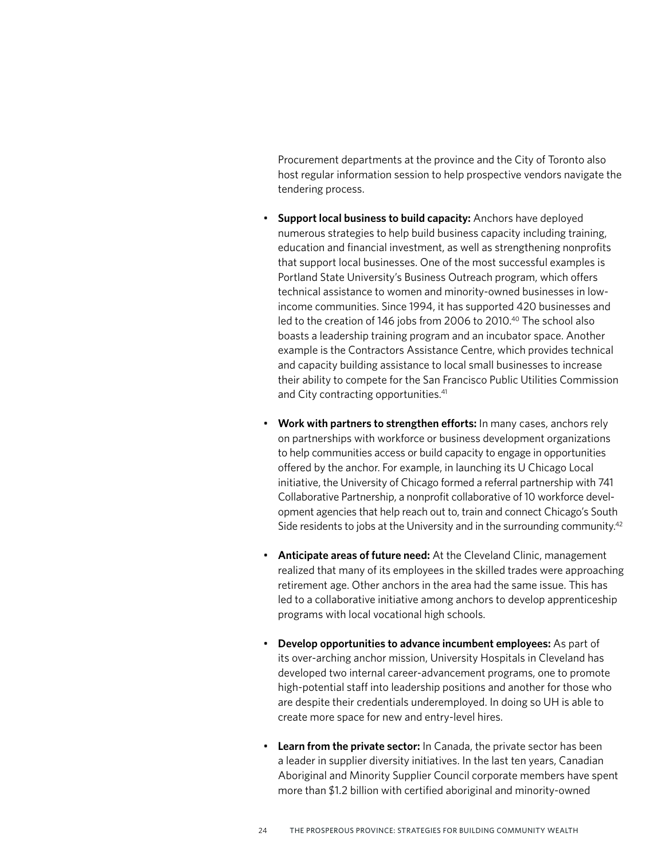Procurement departments at the province and the City of Toronto also host regular information session to help prospective vendors navigate the tendering process.

- **Support local business to build capacity:** Anchors have deployed numerous strategies to help build business capacity including training, education and financial investment, as well as strengthening nonprofits that support local businesses. One of the most successful examples is Portland State University's Business Outreach program, which offers technical assistance to women and minority-owned businesses in lowincome communities. Since 1994, it has supported 420 businesses and led to the creation of 146 jobs from 2006 to 2010.<sup>40</sup> The school also boasts a leadership training program and an incubator space. Another example is the Contractors Assistance Centre, which provides technical and capacity building assistance to local small businesses to increase their ability to compete for the San Francisco Public Utilities Commission and City contracting opportunities.<sup>41</sup>
- **Work with partners to strengthen efforts:** In many cases, anchors rely on partnerships with workforce or business development organizations to help communities access or build capacity to engage in opportunities offered by the anchor. For example, in launching its U Chicago Local initiative, the University of Chicago formed a referral partnership with 741 Collaborative Partnership, a nonprofit collaborative of 10 workforce development agencies that help reach out to, train and connect Chicago's South Side residents to jobs at the University and in the surrounding community.<sup>42</sup>
- **Anticipate areas of future need:** At the Cleveland Clinic, management realized that many of its employees in the skilled trades were approaching retirement age. Other anchors in the area had the same issue. This has led to a collaborative initiative among anchors to develop apprenticeship programs with local vocational high schools.
- **Develop opportunities to advance incumbent employees:** As part of its over-arching anchor mission, University Hospitals in Cleveland has developed two internal career-advancement programs, one to promote high-potential staff into leadership positions and another for those who are despite their credentials underemployed. In doing so UH is able to create more space for new and entry-level hires.
- **Learn from the private sector:** In Canada, the private sector has been a leader in supplier diversity initiatives. In the last ten years, Canadian Aboriginal and Minority Supplier Council corporate members have spent more than \$1.2 billion with certified aboriginal and minority-owned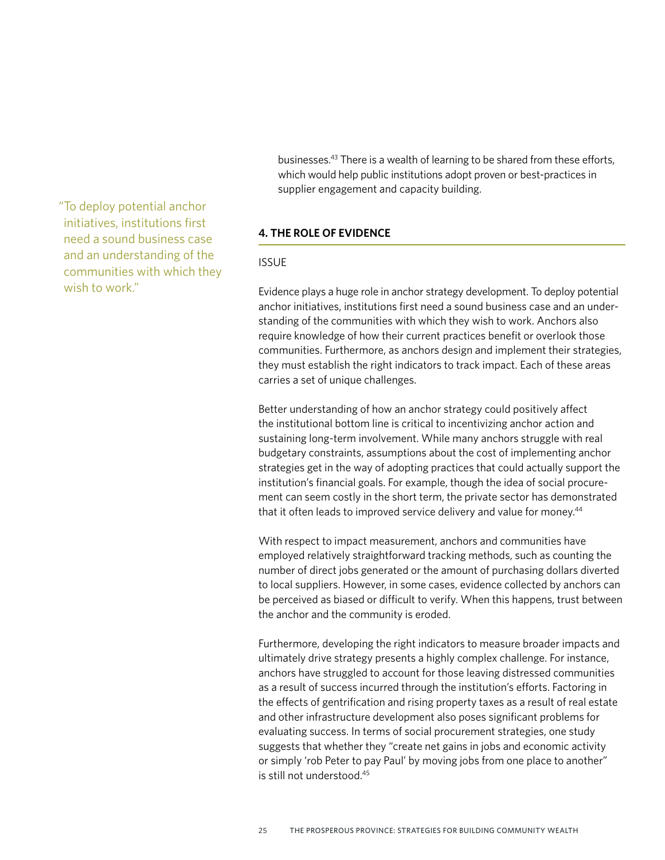"To deploy potential anchor initiatives, institutions first need a sound business case and an understanding of the communities with which they wish to work."

businesses.43 There is a wealth of learning to be shared from these efforts, which would help public institutions adopt proven or best-practices in supplier engagement and capacity building.

### **4. THE ROLE OF EVIDENCE**

### ISSUE

Evidence plays a huge role in anchor strategy development. To deploy potential anchor initiatives, institutions first need a sound business case and an understanding of the communities with which they wish to work. Anchors also require knowledge of how their current practices benefit or overlook those communities. Furthermore, as anchors design and implement their strategies, they must establish the right indicators to track impact. Each of these areas carries a set of unique challenges.

Better understanding of how an anchor strategy could positively affect the institutional bottom line is critical to incentivizing anchor action and sustaining long-term involvement. While many anchors struggle with real budgetary constraints, assumptions about the cost of implementing anchor strategies get in the way of adopting practices that could actually support the institution's financial goals. For example, though the idea of social procurement can seem costly in the short term, the private sector has demonstrated that it often leads to improved service delivery and value for money.<sup>44</sup>

With respect to impact measurement, anchors and communities have employed relatively straightforward tracking methods, such as counting the number of direct jobs generated or the amount of purchasing dollars diverted to local suppliers. However, in some cases, evidence collected by anchors can be perceived as biased or difficult to verify. When this happens, trust between the anchor and the community is eroded.

Furthermore, developing the right indicators to measure broader impacts and ultimately drive strategy presents a highly complex challenge. For instance, anchors have struggled to account for those leaving distressed communities as a result of success incurred through the institution's efforts. Factoring in the effects of gentrification and rising property taxes as a result of real estate and other infrastructure development also poses significant problems for evaluating success. In terms of social procurement strategies, one study suggests that whether they "create net gains in jobs and economic activity or simply 'rob Peter to pay Paul' by moving jobs from one place to another" is still not understood.45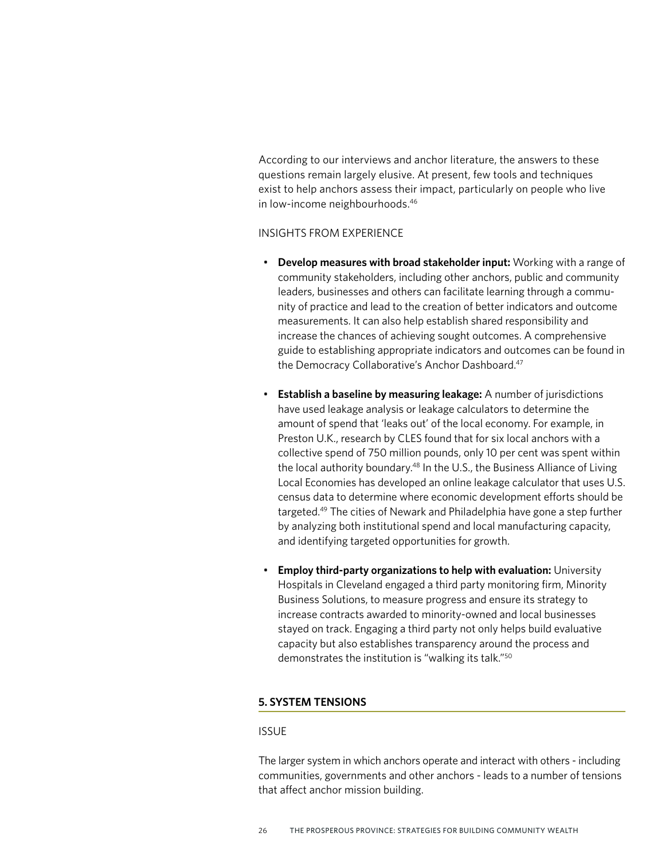According to our interviews and anchor literature, the answers to these questions remain largely elusive. At present, few tools and techniques exist to help anchors assess their impact, particularly on people who live in low-income neighbourhoods.46

### INSIGHTS FROM EXPERIENCE

- **Develop measures with broad stakeholder input:** Working with a range of community stakeholders, including other anchors, public and community leaders, businesses and others can facilitate learning through a community of practice and lead to the creation of better indicators and outcome measurements. It can also help establish shared responsibility and increase the chances of achieving sought outcomes. A comprehensive guide to establishing appropriate indicators and outcomes can be found in the Democracy Collaborative's Anchor Dashboard.<sup>47</sup>
- **Establish a baseline by measuring leakage:** A number of jurisdictions have used leakage analysis or leakage calculators to determine the amount of spend that 'leaks out' of the local economy. For example, in Preston U.K., research by CLES found that for six local anchors with a collective spend of 750 million pounds, only 10 per cent was spent within the local authority boundary.<sup>48</sup> In the U.S., the Business Alliance of Living Local Economies has developed an online leakage calculator that uses U.S. census data to determine where economic development efforts should be targeted.49 The cities of Newark and Philadelphia have gone a step further by analyzing both institutional spend and local manufacturing capacity, and identifying targeted opportunities for growth.
- **Employ third-party organizations to help with evaluation:** University Hospitals in Cleveland engaged a third party monitoring firm, Minority Business Solutions, to measure progress and ensure its strategy to increase contracts awarded to minority-owned and local businesses stayed on track. Engaging a third party not only helps build evaluative capacity but also establishes transparency around the process and demonstrates the institution is "walking its talk."50

#### **5. SYSTEM TENSIONS**

#### ISSUE

The larger system in which anchors operate and interact with others - including communities, governments and other anchors - leads to a number of tensions that affect anchor mission building.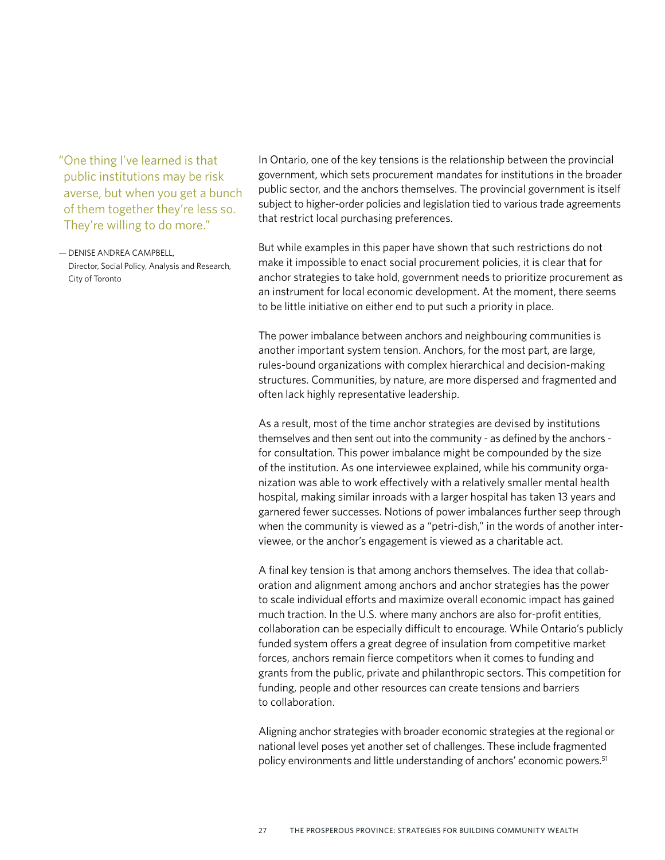"One thing I've learned is that public institutions may be risk averse, but when you get a bunch of them together they're less so. They're willing to do more."

— DENISE ANDREA CAMPBELL, Director, Social Policy, Analysis and Research, City of Toronto

In Ontario, one of the key tensions is the relationship between the provincial government, which sets procurement mandates for institutions in the broader public sector, and the anchors themselves. The provincial government is itself subject to higher-order policies and legislation tied to various trade agreements that restrict local purchasing preferences.

But while examples in this paper have shown that such restrictions do not make it impossible to enact social procurement policies, it is clear that for anchor strategies to take hold, government needs to prioritize procurement as an instrument for local economic development. At the moment, there seems to be little initiative on either end to put such a priority in place.

The power imbalance between anchors and neighbouring communities is another important system tension. Anchors, for the most part, are large, rules-bound organizations with complex hierarchical and decision-making structures. Communities, by nature, are more dispersed and fragmented and often lack highly representative leadership.

As a result, most of the time anchor strategies are devised by institutions themselves and then sent out into the community - as defined by the anchors for consultation. This power imbalance might be compounded by the size of the institution. As one interviewee explained, while his community organization was able to work effectively with a relatively smaller mental health hospital, making similar inroads with a larger hospital has taken 13 years and garnered fewer successes. Notions of power imbalances further seep through when the community is viewed as a "petri-dish," in the words of another interviewee, or the anchor's engagement is viewed as a charitable act.

A final key tension is that among anchors themselves. The idea that collaboration and alignment among anchors and anchor strategies has the power to scale individual efforts and maximize overall economic impact has gained much traction. In the U.S. where many anchors are also for-profit entities, collaboration can be especially difficult to encourage. While Ontario's publicly funded system offers a great degree of insulation from competitive market forces, anchors remain fierce competitors when it comes to funding and grants from the public, private and philanthropic sectors. This competition for funding, people and other resources can create tensions and barriers to collaboration.

Aligning anchor strategies with broader economic strategies at the regional or national level poses yet another set of challenges. These include fragmented policy environments and little understanding of anchors' economic powers.<sup>51</sup>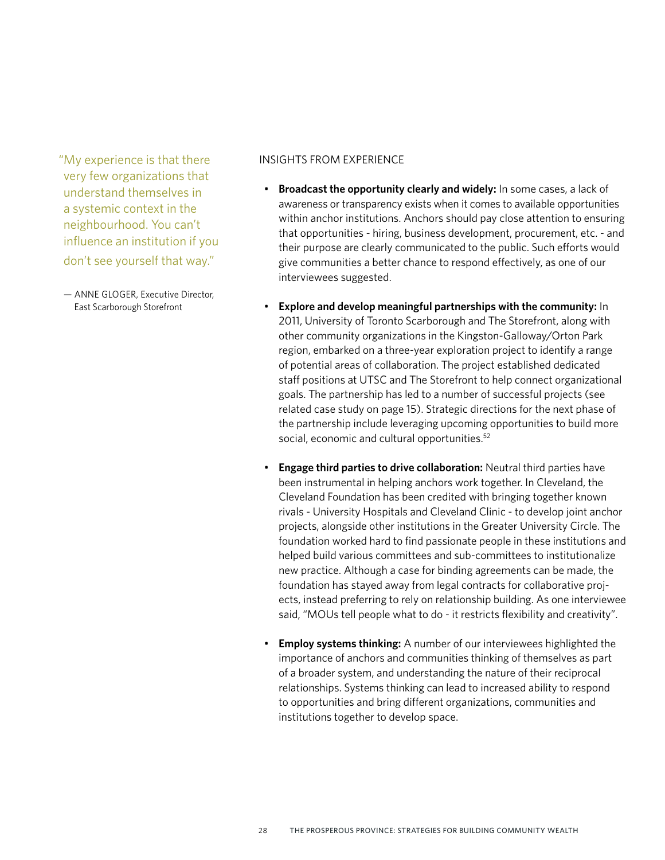"My experience is that there very few organizations that understand themselves in a systemic context in the neighbourhood. You can't influence an institution if you don't see yourself that way."

— ANNE GLOGER, Executive Director, East Scarborough Storefront

#### INSIGHTS FROM EXPERIENCE

- **Broadcast the opportunity clearly and widely:** In some cases, a lack of awareness or transparency exists when it comes to available opportunities within anchor institutions. Anchors should pay close attention to ensuring that opportunities - hiring, business development, procurement, etc. - and their purpose are clearly communicated to the public. Such efforts would give communities a better chance to respond effectively, as one of our interviewees suggested.
- **Explore and develop meaningful partnerships with the community:** In 2011, University of Toronto Scarborough and The Storefront, along with other community organizations in the Kingston-Galloway/Orton Park region, embarked on a three-year exploration project to identify a range of potential areas of collaboration. The project established dedicated staff positions at UTSC and The Storefront to help connect organizational goals. The partnership has led to a number of successful projects (see related case study on page 15). Strategic directions for the next phase of the partnership include leveraging upcoming opportunities to build more social, economic and cultural opportunities.<sup>52</sup>
- **Engage third parties to drive collaboration:** Neutral third parties have been instrumental in helping anchors work together. In Cleveland, the Cleveland Foundation has been credited with bringing together known rivals - University Hospitals and Cleveland Clinic - to develop joint anchor projects, alongside other institutions in the Greater University Circle. The foundation worked hard to find passionate people in these institutions and helped build various committees and sub-committees to institutionalize new practice. Although a case for binding agreements can be made, the foundation has stayed away from legal contracts for collaborative projects, instead preferring to rely on relationship building. As one interviewee said, "MOUs tell people what to do - it restricts flexibility and creativity".
- **Employ systems thinking:** A number of our interviewees highlighted the importance of anchors and communities thinking of themselves as part of a broader system, and understanding the nature of their reciprocal relationships. Systems thinking can lead to increased ability to respond to opportunities and bring different organizations, communities and institutions together to develop space.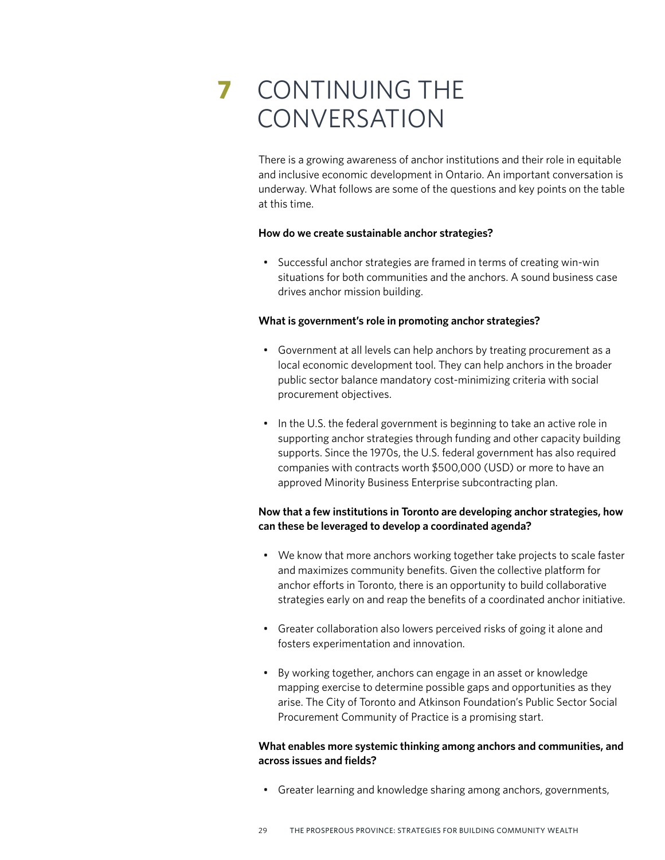# **7** CONTINUING THE **CONVERSATION**

There is a growing awareness of anchor institutions and their role in equitable and inclusive economic development in Ontario. An important conversation is underway. What follows are some of the questions and key points on the table at this time.

#### **How do we create sustainable anchor strategies?**

• Successful anchor strategies are framed in terms of creating win-win situations for both communities and the anchors. A sound business case drives anchor mission building.

#### **What is government's role in promoting anchor strategies?**

- Government at all levels can help anchors by treating procurement as a local economic development tool. They can help anchors in the broader public sector balance mandatory cost-minimizing criteria with social procurement objectives.
- In the U.S. the federal government is beginning to take an active role in supporting anchor strategies through funding and other capacity building supports. Since the 1970s, the U.S. federal government has also required companies with contracts worth \$500,000 (USD) or more to have an approved Minority Business Enterprise subcontracting plan.

### **Now that a few institutions in Toronto are developing anchor strategies, how can these be leveraged to develop a coordinated agenda?**

- We know that more anchors working together take projects to scale faster and maximizes community benefits. Given the collective platform for anchor efforts in Toronto, there is an opportunity to build collaborative strategies early on and reap the benefits of a coordinated anchor initiative.
- Greater collaboration also lowers perceived risks of going it alone and fosters experimentation and innovation.
- By working together, anchors can engage in an asset or knowledge mapping exercise to determine possible gaps and opportunities as they arise. The City of Toronto and Atkinson Foundation's Public Sector Social Procurement Community of Practice is a promising start.

### **What enables more systemic thinking among anchors and communities, and across issues and fields?**

• Greater learning and knowledge sharing among anchors, governments,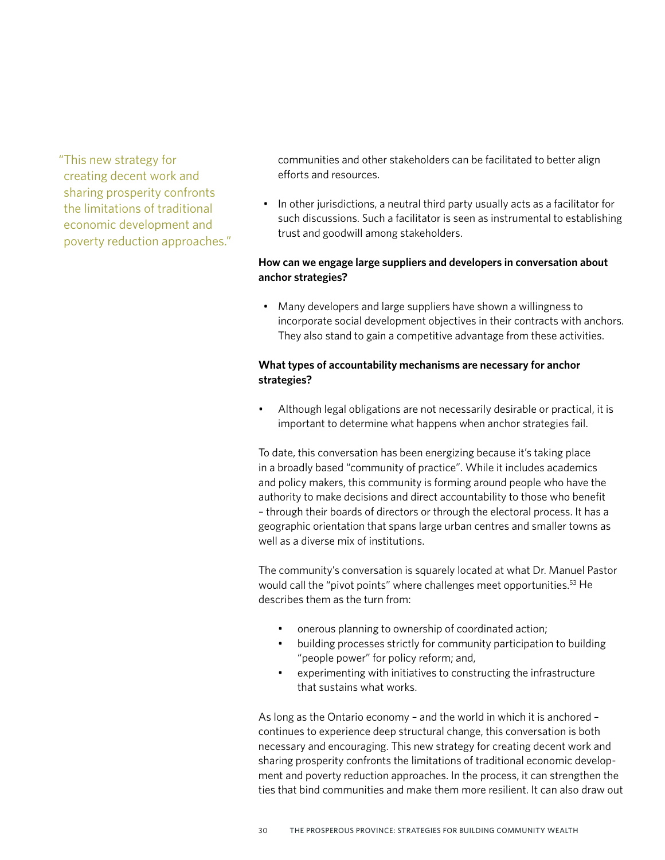"This new strategy for creating decent work and sharing prosperity confronts the limitations of traditional economic development and poverty reduction approaches."

communities and other stakeholders can be facilitated to better align efforts and resources.

• In other jurisdictions, a neutral third party usually acts as a facilitator for such discussions. Such a facilitator is seen as instrumental to establishing trust and goodwill among stakeholders.

## **How can we engage large suppliers and developers in conversation about anchor strategies?**

• Many developers and large suppliers have shown a willingness to incorporate social development objectives in their contracts with anchors. They also stand to gain a competitive advantage from these activities.

## **What types of accountability mechanisms are necessary for anchor strategies?**

• Although legal obligations are not necessarily desirable or practical, it is important to determine what happens when anchor strategies fail.

To date, this conversation has been energizing because it's taking place in a broadly based "community of practice". While it includes academics and policy makers, this community is forming around people who have the authority to make decisions and direct accountability to those who benefit – through their boards of directors or through the electoral process. It has a geographic orientation that spans large urban centres and smaller towns as well as a diverse mix of institutions.

The community's conversation is squarely located at what Dr. Manuel Pastor would call the "pivot points" where challenges meet opportunities.<sup>53</sup> He describes them as the turn from:

- onerous planning to ownership of coordinated action;
- building processes strictly for community participation to building "people power" for policy reform; and,
- experimenting with initiatives to constructing the infrastructure that sustains what works.

As long as the Ontario economy – and the world in which it is anchored – continues to experience deep structural change, this conversation is both necessary and encouraging. This new strategy for creating decent work and sharing prosperity confronts the limitations of traditional economic development and poverty reduction approaches. In the process, it can strengthen the ties that bind communities and make them more resilient. It can also draw out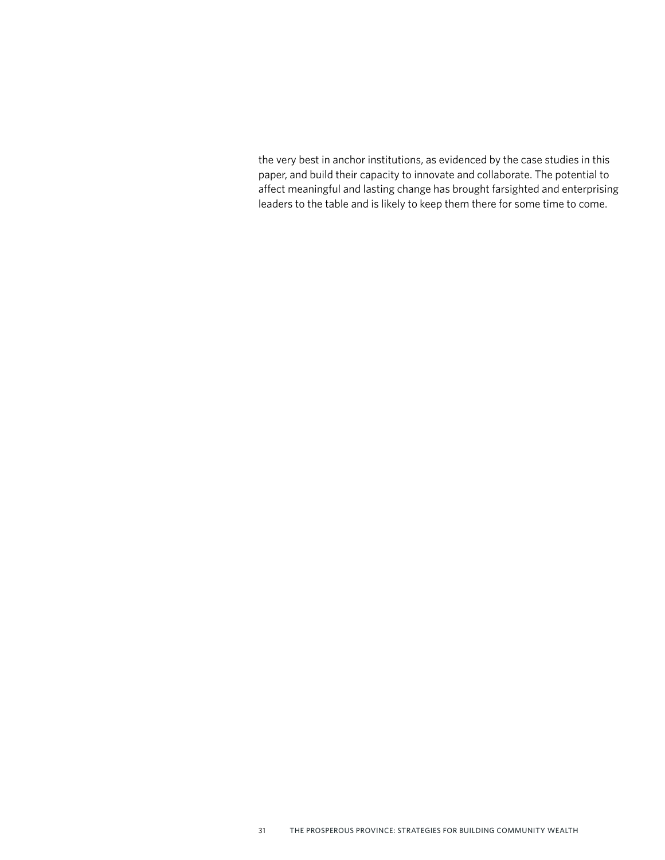the very best in anchor institutions, as evidenced by the case studies in this paper, and build their capacity to innovate and collaborate. The potential to affect meaningful and lasting change has brought farsighted and enterprising leaders to the table and is likely to keep them there for some time to come.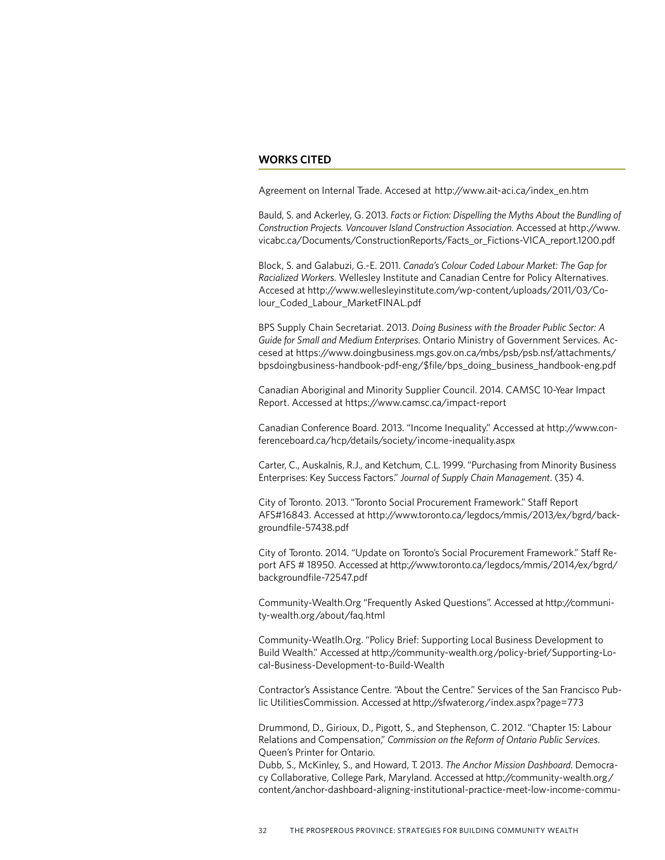#### **WORKS CITED**

Agreement on Internal Trade. Accesed at [http://www.ait-aci.ca/index\\_en.htm](http://www.ait-aci.ca/index_en.htm)

Bauld, S. and Ackerley, G. 2013. *Facts or Fiction: Dispelling the Myths About the Bundling of Construction Projects. Vancouver Island Construction Association*. Accessed at [http://www.](http://www.vicabc.ca/Documents/ConstructionReports/Facts_or_Fictions-VICA_report.1200.pdf) [vicabc.ca/Documents/ConstructionReports/Facts\\_or\\_Fictions-VICA\\_report.1200.pdf](http://www.vicabc.ca/Documents/ConstructionReports/Facts_or_Fictions-VICA_report.1200.pdf)

Block, S. and Galabuzi, G.-E. 2011. *Canada's Colour Coded Labour Market: The Gap for Racialized Workers.* Wellesley Institute and Canadian Centre for Policy Alternatives. Accesed at [http://www.wellesleyinstitute.com/wp-content/uploads/2011/03/Co](http://www.wellesleyinstitute.com/wp-content/uploads/2011/03/Colour_Coded_Labour_MarketFINAL.pdf)[lour\\_Coded\\_Labour\\_MarketFINAL.pdf](http://www.wellesleyinstitute.com/wp-content/uploads/2011/03/Colour_Coded_Labour_MarketFINAL.pdf)

BPS Supply Chain Secretariat. 2013. *Doing Business with the Broader Public Sector: A Guide for Small and Medium Enterprises*. Ontario Ministry of Government Services. Accesed at [https://www.doingbusiness.mgs.gov.on.ca/mbs/psb/psb.nsf/attachments/](https://www.doingbusiness.mgs.gov.on.ca/mbs/psb/psb.nsf/attachments/bpsdoingbusiness-handbook-pdf-eng/$file/bps_doing_business_handbook-eng.pdf) [bpsdoingbusiness-handbook-pdf-eng/\\$file/bps\\_doing\\_business\\_handbook-eng.pdf](https://www.doingbusiness.mgs.gov.on.ca/mbs/psb/psb.nsf/attachments/bpsdoingbusiness-handbook-pdf-eng/$file/bps_doing_business_handbook-eng.pdf)

Canadian Aboriginal and Minority Supplier Council. 2014. CAMSC 10-Year Impact Report. Accessed at<https://www.camsc.ca/impact-report>

Canadian Conference Board. 2013. "Income Inequality." Accessed at [http://www.con](http://www.conferenceboard.ca/hcp/details/society/income-inequality.aspx)[ferenceboard.ca/hcp/details/society/income-inequality.aspx](http://www.conferenceboard.ca/hcp/details/society/income-inequality.aspx)

Carter, C., Auskalnis, R.J., and Ketchum, C.L. 1999. "Purchasing from Minority Business Enterprises: Key Success Factors." *Journal of Supply Chain Management*. (35) 4.

City of Toronto. 2013. "Toronto Social Procurement Framework." Staff Report AFS#16843. Accessed at [http://www.toronto.ca/legdocs/mmis/2013/ex/bgrd/back](http://www.toronto.ca/legdocs/mmis/2013/ex/bgrd/backgroundfile-57438.pdf)[groundfile-57438.pdf](http://www.toronto.ca/legdocs/mmis/2013/ex/bgrd/backgroundfile-57438.pdf)

City of Toronto. 2014. "Update on Toronto's Social Procurement Framework." Staff Report AFS # 18950. Accessed at [http://www.toronto.ca/legdocs/mmis/2014/ex/bgrd/](http://www.toronto.ca/legdocs/mmis/2014/ex/bgrd/backgroundfile-72547.pdf) [backgroundfile-72547.pdf](http://www.toronto.ca/legdocs/mmis/2014/ex/bgrd/backgroundfile-72547.pdf)

[Community-Wealth.Org](http://Community-Wealth.Org) "Frequently Asked Questions". Accessed at [http://communi](http://community-wealth.org/about/faq.html)[ty-wealth.org/about/faq.html](http://community-wealth.org/about/faq.html)

[Community-Weatlh.Org.](http://Community-Wealth.Org) "Policy Brief: Supporting Local Business Development to Build Wealth." Accessed at [http://community-wealth.org/policy-brief/Supporting-Lo](http://community-wealth.org/policy-brief/Supporting-Local-Business-Development-to-Build-Wealth)[cal-Business-Development-to-Build-Wealth](http://community-wealth.org/policy-brief/Supporting-Local-Business-Development-to-Build-Wealth)

Contractor's Assistance Centre. "About the Centre." Services of the San Francisco Public UtilitiesCommission. Accessed at<http://sfwater.org/index.aspx?page=773>

Drummond, D., Girioux, D., Pigott, S., and Stephenson, C. 2012. "Chapter 15: Labour Relations and Compensation," *Commission on the Reform of Ontario Public Services*. Queen's Printer for Ontario.

Dubb, S., McKinley, S., and Howard, T. 2013. *The Anchor Mission Dashboard*. Democracy Collaborative, College Park, Maryland. Accessed at [http://community-wealth.org/](http://community-wealth.org/content/anchor-dashboard-aligning-institutional-practice-meet-low-income-community-needs) [content/anchor-dashboard-aligning-institutional-practice-meet-low-income-commu-](http://community-wealth.org/content/anchor-dashboard-aligning-institutional-practice-meet-low-income-community-needs)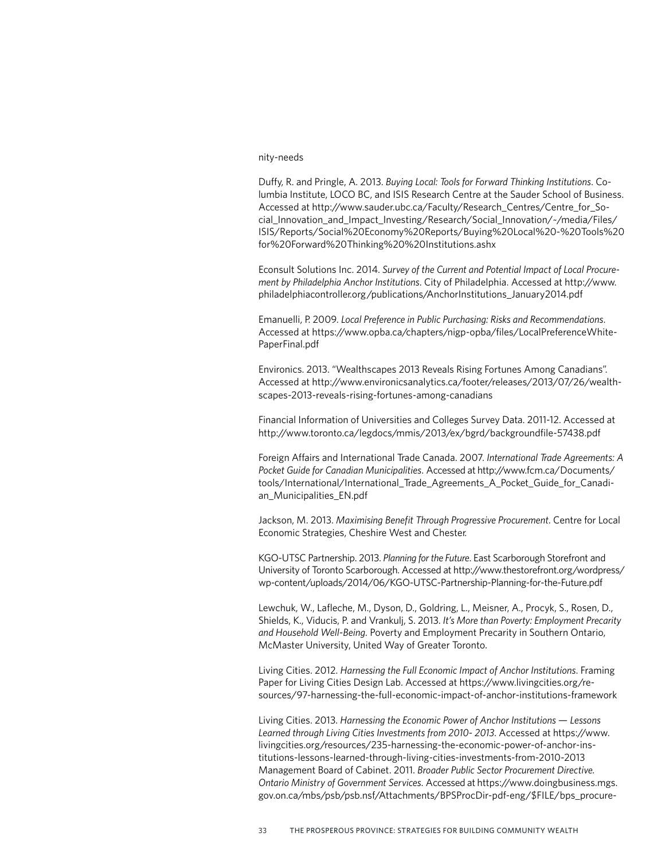#### [nity-needs](http://community-wealth.org/content/anchor-dashboard-aligning-institutional-practice-meet-low-income-community-needs)

Duffy, R. and Pringle, A. 2013. *Buying Local: Tools for Forward Thinking Institutions*. Columbia Institute, LOCO BC, and ISIS Research Centre at the Sauder School of Business. Accessed at [http://www.sauder.ubc.ca/Faculty/Research\\_Centres/Centre\\_for\\_So](http://www.sauder.ubc.ca/Faculty/Research_Centres/Centre_for_Social_Innovation_and_Impact_Investing/Research/Social_Innovation/~/media/Files/ISIS/Reports/Social%20Economy%20Reports/Buying%20Local%20-%20Tools%20for%20Forward%20Thinking%20%20Institutions.ashx)[cial\\_Innovation\\_and\\_Impact\\_Investing/Research/Social\\_Innovation/~/media/Files/](http://www.sauder.ubc.ca/Faculty/Research_Centres/Centre_for_Social_Innovation_and_Impact_Investing/Research/Social_Innovation/~/media/Files/ISIS/Reports/Social%20Economy%20Reports/Buying%20Local%20-%20Tools%20for%20Forward%20Thinking%20%20Institutions.ashx) [ISIS/Reports/Social%20Economy%20Reports/Buying%20Local%20-%20Tools%20](http://www.sauder.ubc.ca/Faculty/Research_Centres/Centre_for_Social_Innovation_and_Impact_Investing/Research/Social_Innovation/~/media/Files/ISIS/Reports/Social%20Economy%20Reports/Buying%20Local%20-%20Tools%20for%20Forward%20Thinking%20%20Institutions.ashx) [for%20Forward%20Thinking%20%20Institutions.ashx](http://www.sauder.ubc.ca/Faculty/Research_Centres/Centre_for_Social_Innovation_and_Impact_Investing/Research/Social_Innovation/~/media/Files/ISIS/Reports/Social%20Economy%20Reports/Buying%20Local%20-%20Tools%20for%20Forward%20Thinking%20%20Institutions.ashx)

Econsult Solutions Inc. 2014. *Survey of the Current and Potential Impact of Local Procurement by Philadelphia Anchor Institutions*. City of Philadelphia. Accessed at [http://www.](http://www.philadelphiacontroller.org/publications/AnchorInstitutions_January2014.pdf) [philadelphiacontroller.org/publications/AnchorInstitutions\\_January2014.pdf](http://www.philadelphiacontroller.org/publications/AnchorInstitutions_January2014.pdf)

Emanuelli, P. 2009. *Local Preference in Public Purchasing: Risks and Recommendations*. Accessed at [https://www.opba.ca/chapters/nigp-opba/files/LocalPreferenceWhite-](https://www.opba.ca/chapters/nigp-opba/files/LocalPreferenceWhitePaperFinal.pdf)[PaperFinal.pdf](https://www.opba.ca/chapters/nigp-opba/files/LocalPreferenceWhitePaperFinal.pdf)

Environics. 2013. "Wealthscapes 2013 Reveals Rising Fortunes Among Canadians". Accessed at [http://www.environicsanalytics.ca/footer/releases/2013/07/26/wealth](http://www.environicsanalytics.ca/footer/releases/2013/07/26/wealthscapes-2013-reveals-rising-fortunes-among-canadians)[scapes-2013-reveals-rising-fortunes-among-canadians](http://www.environicsanalytics.ca/footer/releases/2013/07/26/wealthscapes-2013-reveals-rising-fortunes-among-canadians)

Financial Information of Universities and Colleges Survey Data. 2011-12. Accessed at <http://www.toronto.ca/legdocs/mmis/2013/ex/bgrd/backgroundfile-57438.pdf>

Foreign Affairs and International Trade Canada. 2007. *International Trade Agreements: A Pocket Guide for Canadian Municipalities*. Accessed at [http://www.fcm.ca/Documents/](http://www.fcm.ca/Documents/tools/International/International_Trade_Agreements_A_Pocket_Guide_for_Canadian_Municipalities_EN.pdf) [tools/International/International\\_Trade\\_Agreements\\_A\\_Pocket\\_Guide\\_for\\_Canadi](http://www.fcm.ca/Documents/tools/International/International_Trade_Agreements_A_Pocket_Guide_for_Canadian_Municipalities_EN.pdf)[an\\_Municipalities\\_EN.pdf](http://www.fcm.ca/Documents/tools/International/International_Trade_Agreements_A_Pocket_Guide_for_Canadian_Municipalities_EN.pdf)

Jackson, M. 2013. *Maximising Benefit Through Progressive Procurement*. Centre for Local Economic Strategies, Cheshire West and Chester.

KGO-UTSC Partnership. 2013. *Planning for the Future*. East Scarborough Storefront and University of Toronto Scarborough. Accessed at [http://www.thestorefront.org/wordpress/](http://www.thestorefront.org/wordpress/wp-content/uploads/2014/06/KGO-UTSC-Partnership-Planning-for-the-Future.pdf) [wp-content/uploads/2014/06/KGO-UTSC-Partnership-Planning-for-the-Future.pdf](http://www.thestorefront.org/wordpress/wp-content/uploads/2014/06/KGO-UTSC-Partnership-Planning-for-the-Future.pdf)

Lewchuk, W., Lafleche, M., Dyson, D., Goldring, L., Meisner, A., Procyk, S., Rosen, D., Shields, K., Viducis, P. and Vrankulj, S. 2013. *It's More than Poverty: Employment Precarity and Household Well-Being.* Poverty and Employment Precarity in Southern Ontario, McMaster University, United Way of Greater Toronto.

Living Cities. 2012. *Harnessing the Full Economic Impact of Anchor Institutions*. Framing Paper for Living Cities Design Lab. Accessed at [https://www.livingcities.org/re](https://www.livingcities.org/resources/97-harnessing-the-full-economic-impact-of-anchor-institutions)[sources/97-harnessing-the-full-economic-impact-of-anchor-institutions-framework](https://www.livingcities.org/resources/97-harnessing-the-full-economic-impact-of-anchor-institutions)

Living Cities. 2013. *Harnessing the Economic Power of Anchor Institutions* — *Lessons Learned through Living Cities Investments from 2010- 2013*. Accessed at [https://www.](https://www.livingcities.org/resources/235-harnessing-the-economic-power-of-anchor-institutions-less) [livingcities.org/resources/235-harnessing-the-economic-power-of-anchor-ins](https://www.livingcities.org/resources/235-harnessing-the-economic-power-of-anchor-institutions-less)[titutions-lessons-learned-through-living-cities-investments-from-2010-2013](https://www.livingcities.org/resources/235-harnessing-the-economic-power-of-anchor-institutions-less)  Management Board of Cabinet. 2011. *Broader Public Sector Procurement Directive. Ontario Ministry of Government Services*. Accessed at [https://www.doingbusiness.mgs.](https://www.doingbusiness.mgs.gov.on.ca/mbs/psb/psb.nsf/Attachments/BPSProcDir-pdf-eng/$FILE/bps_procurement_directive-eng.pdf) [gov.on.ca/mbs/psb/psb.nsf/Attachments/BPSProcDir-pdf-eng/\\$FILE/bps\\_procure-](https://www.doingbusiness.mgs.gov.on.ca/mbs/psb/psb.nsf/Attachments/BPSProcDir-pdf-eng/$FILE/bps_procurement_directive-eng.pdf)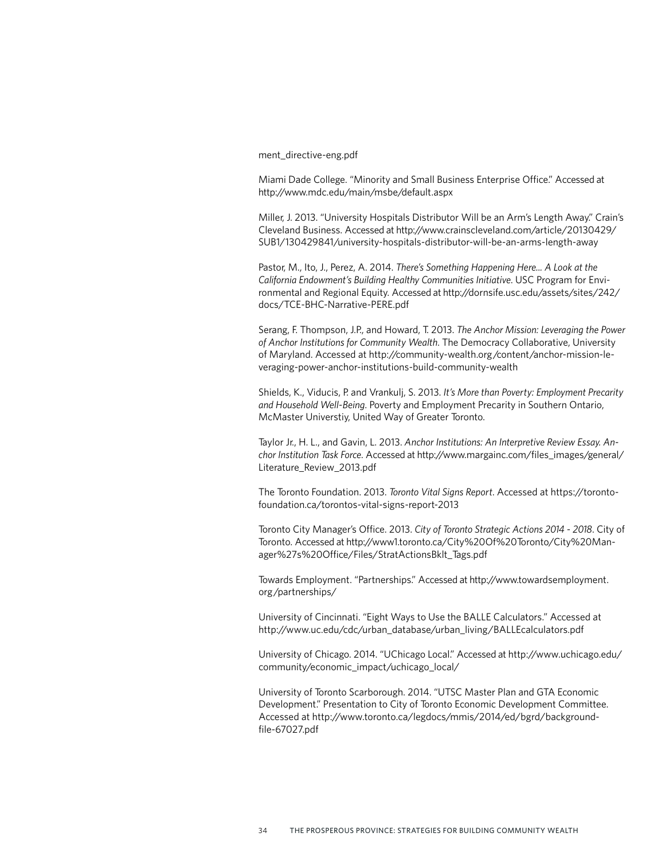[ment\\_directive-eng.pdf](https://www.doingbusiness.mgs.gov.on.ca/mbs/psb/psb.nsf/Attachments/BPSProcDir-pdf-eng/$FILE/bps_procurement_directive-eng.pdf)

Miami Dade College. "Minority and Small Business Enterprise Office." Accessed at <http://www.mdc.edu/main/msbe/default.aspx>

Miller, J. 2013. "University Hospitals Distributor Will be an Arm's Length Away." Crain's Cleveland Business. Accessed at [http://www.crainscleveland.com/article/20130429/](http://www.crainscleveland.com/article/20130429/SUB1/130429841/university-hospitals-distributor-will-be-an-arms-length-away) [SUB1/130429841/university-hospitals-distributor-will-be-an-arms-length-away](http://www.crainscleveland.com/article/20130429/SUB1/130429841/university-hospitals-distributor-will-be-an-arms-length-away)

Pastor, M., Ito, J., Perez, A. 2014. *There's Something Happening Here... A Look at the California Endowment's Building Healthy Communities Initiative*. USC Program for Environmental and Regional Equity. Accessed at [http://dornsife.usc.edu/assets/sites/242/](http://dornsife.usc.edu/assets/sites/242/docs/TCE-BHC-Narrative-PERE.pdf) [docs/TCE-BHC-Narrative-PERE.pdf](http://dornsife.usc.edu/assets/sites/242/docs/TCE-BHC-Narrative-PERE.pdf)

Serang, F. Thompson, J.P., and Howard, T. 2013. *The Anchor Mission: Leveraging the Power of Anchor Institutions for Community Wealth*. The Democracy Collaborative, University of Maryland. Accessed at [http://community-wealth.org/content/anchor-mission-le](http://community-wealth.org/content/anchor-mission-leveraging-power-anchor-institutions-build-community-wealth)[veraging-power-anchor-institutions-build-community-wealth](http://community-wealth.org/content/anchor-mission-leveraging-power-anchor-institutions-build-community-wealth)

Shields, K., Viducis, P. and Vrankulj, S. 2013. *It's More than Poverty: Employment Precarity and Household Well-Being*. Poverty and Employment Precarity in Southern Ontario, McMaster Universtiy, United Way of Greater Toronto.

Taylor Jr., H. L., and Gavin, L. 2013. *Anchor Institutions: An Interpretive Review Essay. Anchor Institution Task Force*. Accessed at [http://www.margainc.com/files\\_images/general/](http://www.margainc.com/files_images/general/Literature_Review_2013.pdf) [Literature\\_Review\\_2013.pdf](http://www.margainc.com/files_images/general/Literature_Review_2013.pdf)

The Toronto Foundation. 2013. *Toronto Vital Signs Report*. Accessed at [https://toronto](https://torontofoundation.ca/torontos-vital-signs-report-2013)[foundation.ca/torontos-vital-signs-report-2013](https://torontofoundation.ca/torontos-vital-signs-report-2013)

Toronto City Manager's Office. 2013. *City of Toronto Strategic Actions 2014 - 2018*. City of Toronto. Accessed at [http://www1.toronto.ca/City%20Of%20Toronto/City%20Man](http://www1.toronto.ca/City%20Of%20Toronto/City%20Manager%27s%20Office/Files/StratActionsBklt_Tags.pdf)[ager%27s%20Office/Files/StratActionsBklt\\_Tags.pdf](http://www1.toronto.ca/City%20Of%20Toronto/City%20Manager%27s%20Office/Files/StratActionsBklt_Tags.pdf)

Towards Employment. "Partnerships." Accessed at [http://www.towardsemployment.](http://www.towardsemployment.org/partnerships/) [org/partnerships/](http://www.towardsemployment.org/partnerships/)

University of Cincinnati. "Eight Ways to Use the BALLE Calculators." Accessed at [http://www.uc.edu/cdc/urban\\_database/urban\\_living/BALLEcalculators.pdf](http://www.uc.edu/cdc/urban_database/urban_living/BALLEcalculators.pdf)

University of Chicago. 2014. "UChicago Local." Accessed at [http://www.uchicago.edu/](http://www.uchicago.edu/community/economic_impact/uchicago_local/) [community/economic\\_impact/uchicago\\_local/](http://www.uchicago.edu/community/economic_impact/uchicago_local/)

University of Toronto Scarborough. 2014. "UTSC Master Plan and GTA Economic Development." Presentation to City of Toronto Economic Development Committee. Accessed at [http://www.toronto.ca/legdocs/mmis/2014/ed/bgrd/background](http://www.toronto.ca/legdocs/mmis/2014/ed/bgrd/backgroundfile-67027.pdf)[file-67027.pdf](http://www.toronto.ca/legdocs/mmis/2014/ed/bgrd/backgroundfile-67027.pdf)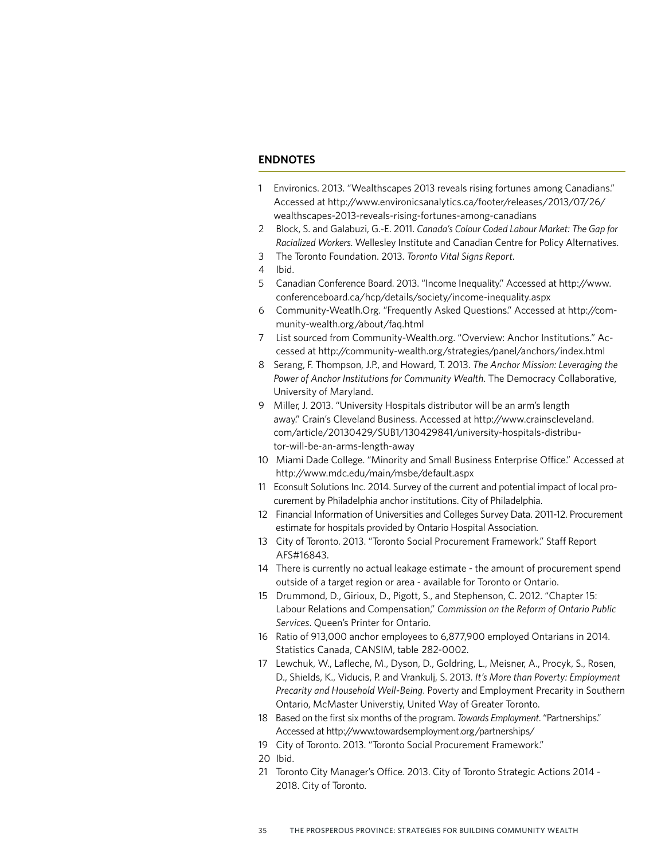#### **ENDNOTES**

- 1 Environics. 2013. "Wealthscapes 2013 reveals rising fortunes among Canadians." Accessed at [http://www.environicsanalytics.ca/footer/releases/2013/07/26/](http://www.environicsanalytics.ca/footer/releases/2013/07/26/wealthscapes-2013-reveals-rising-fortunes-among-canadians) [wealthscapes-2013-reveals-rising-fortunes-among-canadians](http://www.environicsanalytics.ca/footer/releases/2013/07/26/wealthscapes-2013-reveals-rising-fortunes-among-canadians)
- 2 Block, S. and Galabuzi, G.-E. 2011. *Canada's Colour Coded Labour Market: The Gap for Racialized Workers*. Wellesley Institute and Canadian Centre for Policy Alternatives.
- 3 The Toronto Foundation. 2013. *Toronto Vital Signs Report.*
- 4 Ibid.
- 5 Canadian Conference Board. 2013. "Income Inequality." Accessed at [http://www.](http://www.conferenceboard.ca/hcp/details/society/income-inequality.aspx) [conferenceboard.ca/hcp/details/society/income-inequality.aspx](http://www.conferenceboard.ca/hcp/details/society/income-inequality.aspx)
- 6 [Community-Weatlh.Org.](http://Community-Wealth.org) "Frequently Asked Questions." Ac[cessed at http://com](http://community-wealth.org/about/faq.html)[munity-wealth.org/about/faq.html](http://community-wealth.org/about/faq.html)
- 7 List sourced from<Community-Wealth.org>. "Overview: Anchor Institutions." Accessed at<http://community-wealth.org/strategies/panel/anchors/index.html>
- 8 Serang, F. Thompson, J.P., and Howard, T. 2013. *The Anchor Mission: Leveraging the Power of Anchor Institutions for Community Wealth*. The Democracy Collaborative, University of Maryland.
- 9 Miller, J. 2013. "University Hospitals distributor will be an arm's length away." Crain's Cleveland Business. Accessed at [http://www.crainscleveland.](http://www.crainscleveland.com/article/20130429/SUB1/130429841/university-hospitals-distributor-wil) [com/article/20130429/SUB1/130429841/university-hospitals-distribu](http://www.crainscleveland.com/article/20130429/SUB1/130429841/university-hospitals-distributor-wil)[tor-will-be-an-arms-length-away](http://www.crainscleveland.com/article/20130429/SUB1/130429841/university-hospitals-distributor-wil)
- 10 Miami Dade College. "Minority and Small Business Enterprise Office." Accessed at <http://www.mdc.edu/main/msbe/default.aspx>
- 11 Econsult Solutions Inc. 2014. Survey of the current and potential impact of local procurement by Philadelphia anchor institutions. City of Philadelphia.
- 12 Financial Information of Universities and Colleges Survey Data. 2011-12. Procurement estimate for hospitals provided by Ontario Hospital Association.
- 13 City of Toronto. 2013. "Toronto Social Procurement Framework." Staff Report AFS#16843.
- 14 There is currently no actual leakage estimate the amount of procurement spend outside of a target region or area - available for Toronto or Ontario.
- 15 Drummond, D., Girioux, D., Pigott, S., and Stephenson, C. 2012. "Chapter 15: Labour Relations and Compensation," *Commission on the Reform of Ontario Public Services*. Queen's Printer for Ontario.
- 16 Ratio of 913,000 anchor employees to 6,877,900 employed Ontarians in 2014. Statistics Canada, CANSIM, table 282-0002.
- 17 Lewchuk, W., Lafleche, M., Dyson, D., Goldring, L., Meisner, A., Procyk, S., Rosen, D., Shields, K., Viducis, P. and Vrankulj, S. 2013. *It's More than Poverty: Employment Precarity and Household Well-Being*. Poverty and Employment Precarity in Southern Ontario, McMaster Universtiy, United Way of Greater Toronto.
- 18 Based on the first six months of the program. *Towards Employment*. "Partnerships." Accessed at<http://www.towardsemployment.org/partnerships/>
- 19 City of Toronto. 2013. "Toronto Social Procurement Framework."
- 20 Ibid.
- 21 Toronto City Manager's Office. 2013. City of Toronto Strategic Actions 2014 2018. City of Toronto.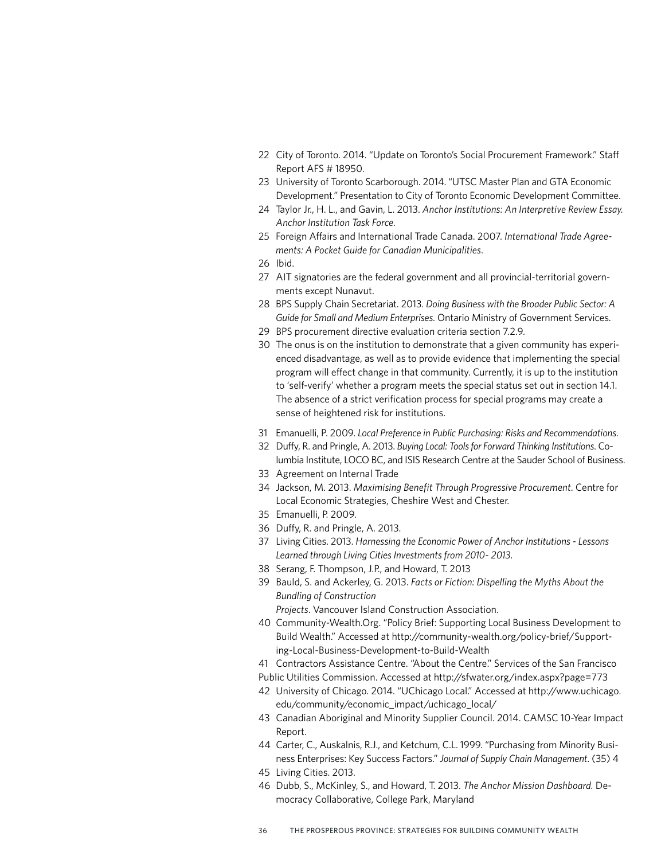- 22 City of Toronto. 2014. "Update on Toronto's Social Procurement Framework." Staff Report AFS # 18950.
- 23 University of Toronto Scarborough. 2014. "UTSC Master Plan and GTA Economic Development." Presentation to City of Toronto Economic Development Committee.
- 24 Taylor Jr., H. L., and Gavin, L. 2013. *Anchor Institutions: An Interpretive Review Essay. Anchor Institution Task Force*.
- 25 Foreign Affairs and International Trade Canada. 2007. *International Trade Agreements: A Pocket Guide for Canadian Municipalities*.
- 26 Ibid.
- 27 AIT signatories are the federal government and all provincial-territorial governments except Nunavut.
- 28 BPS Supply Chain Secretariat. 2013. *Doing Business with the Broader Public Sector: A Guide for Small and Medium Enterprises*. Ontario Ministry of Government Services.
- 29 BPS procurement directive evaluation criteria section 7.2.9.
- 30 The onus is on the institution to demonstrate that a given community has experienced disadvantage, as well as to provide evidence that implementing the special program will effect change in that community. Currently, it is up to the institution to 'self-verify' whether a program meets the special status set out in section 14.1. The absence of a strict verification process for special programs may create a sense of heightened risk for institutions.
- 31 Emanuelli, P. 2009. *Local Preference in Public Purchasing: Risks and Recommendations*.
- 32 Duffy, R. and Pringle, A. 2013. *Buying Local: Tools for Forward Thinking Institutions*. Columbia Institute, LOCO BC, and ISIS Research Centre at the Sauder School of Business.
- 33 Agreement on Internal Trade
- 34 Jackson, M. 2013. *Maximising Benefit Through Progressive Procurement*. Centre for Local Economic Strategies, Cheshire West and Chester.
- 35 Emanuelli, P. 2009.
- 36 Duffy, R. and Pringle, A. 2013.
- 37 Living Cities. 2013. *Harnessing the Economic Power of Anchor Institutions Lessons Learned through Living Cities Investments from 2010- 2013*.
- 38 Serang, F. Thompson, J.P., and Howard, T. 2013
- 39 Bauld, S. and Ackerley, G. 2013. *Facts or Fiction: Dispelling the Myths About the Bundling of Construction Projects*. Vancouver Island Construction Association.
- 40 [Community-Wealth.Org.](http://Community-Wealth.org) "Policy Brief: Supporting Local Business Development to Build Wealth." Accessed at [http://community-wealth.org/policy-brief/Support](http://community-wealth.org/policy-brief/Supporting-Local-Business-Development-to-Build-Wealth)[ing-Local-Business-Development-to-Build-Wealth](http://community-wealth.org/policy-brief/Supporting-Local-Business-Development-to-Build-Wealth)
- 41 Contractors Assistance Centre. "About the Centre." Services of the San Francisco
- Public Utilities Commission. Accessed at <http://sfwater.org/index.aspx?page=773>
- 42 University of Chicago. 2014. "UChicago Local." Accessed at [http://www.uchicago.](http://www.uchicago.edu/community/economic_impact/uchicago_local/) [edu/community/economic\\_impact/uchicago\\_local/](http://www.uchicago.edu/community/economic_impact/uchicago_local/)
- 43 Canadian Aboriginal and Minority Supplier Council. 2014. CAMSC 10-Year Impact Report.
- 44 Carter, C., Auskalnis, R.J., and Ketchum, C.L. 1999. "Purchasing from Minority Business Enterprises: Key Success Factors." *Journal of Supply Chain Management*. (35) 4
- 45 Living Cities. 2013.
- 46 Dubb, S., McKinley, S., and Howard, T. 2013. *The Anchor Mission Dashboard.* Democracy Collaborative, College Park, Maryland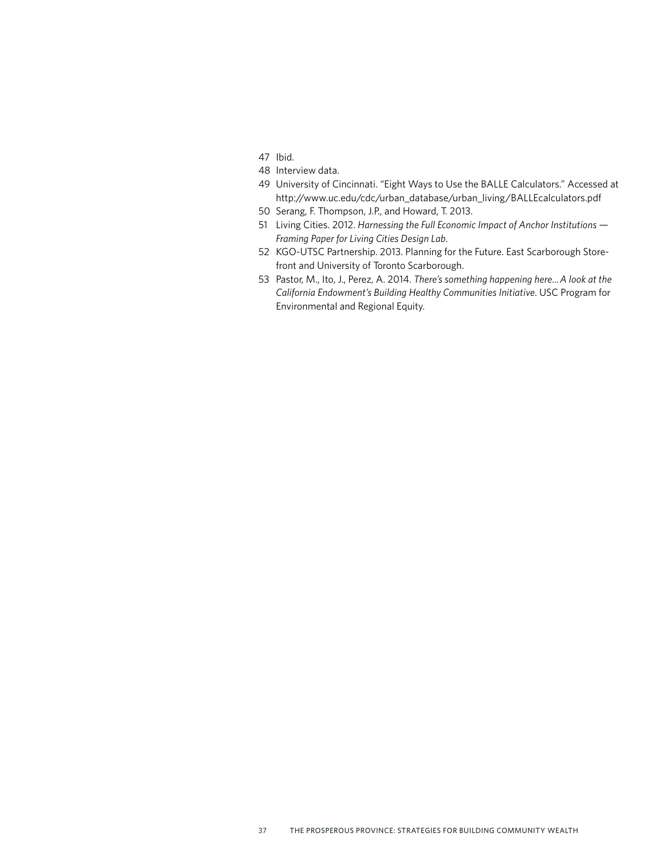- 47 Ibid.
- 48 Interview data.
- 49 University of Cincinnati. "Eight Ways to Use the BALLE Calculators." Accessed at [http://www.uc.edu/cdc/urban\\_database/urban\\_living/BALLEcalculators.pdf](http://www.uc.edu/cdc/urban_database/urban_living/BALLEcalculators.pdf)
- 50 Serang, F. Thompson, J.P., and Howard, T. 2013.
- 51 Living Cities. 2012. *Harnessing the Full Economic Impact of Anchor Institutions Framing Paper for Living Cities Design Lab*.
- 52 KGO-UTSC Partnership. 2013. Planning for the Future. East Scarborough Storefront and University of Toronto Scarborough.
- 53 Pastor, M., Ito, J., Perez, A. 2014. *There's something happening here... A look at the California Endowment's Building Healthy Communities Initiative*. USC Program for Environmental and Regional Equity.